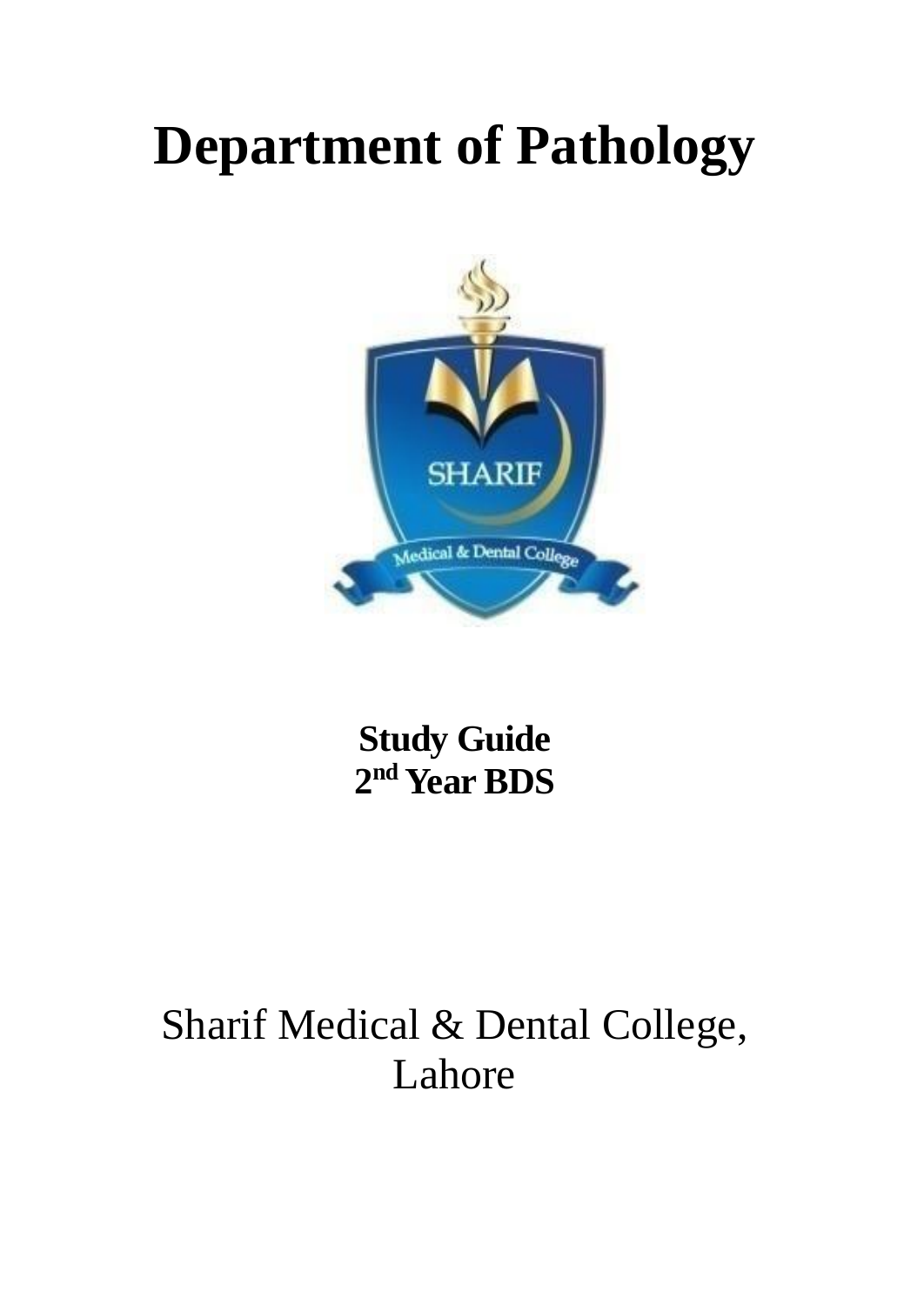# **Department of Pathology**



**Study Guide 2 nd Year BDS**

## Sharif Medical & Dental College, Lahore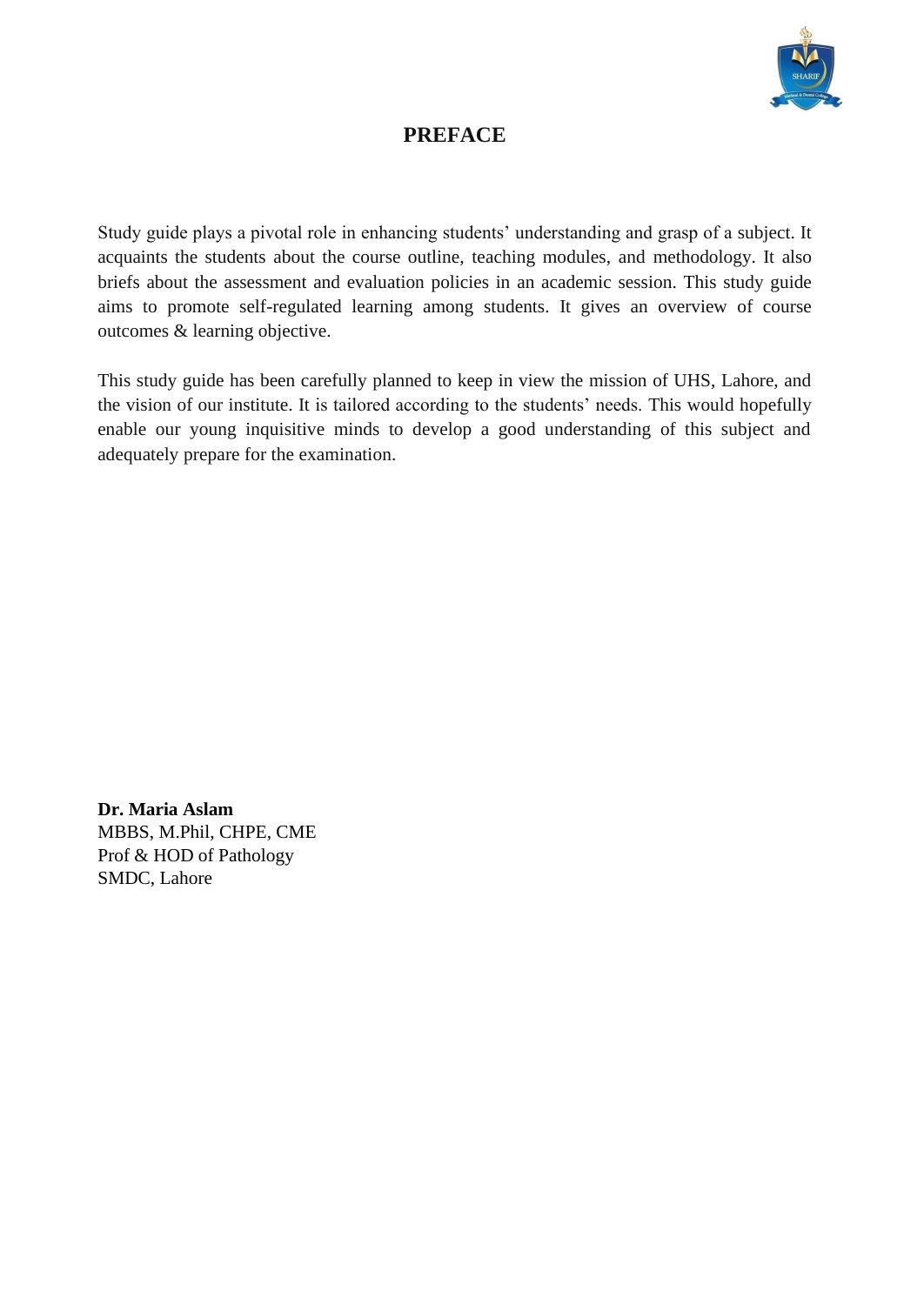

## **PREFACE**

Study guide plays a pivotal role in enhancing students' understanding and grasp of a subject. It acquaints the students about the course outline, teaching modules, and methodology. It also briefs about the assessment and evaluation policies in an academic session. This study guide aims to promote self-regulated learning among students. It gives an overview of course outcomes & learning objective.

This study guide has been carefully planned to keep in view the mission of UHS, Lahore, and the vision of our institute. It is tailored according to the students' needs. This would hopefully enable our young inquisitive minds to develop a good understanding of this subject and adequately prepare for the examination.

**Dr. Maria Aslam** MBBS, M.Phil, CHPE, CME Prof & HOD of Pathology SMDC, Lahore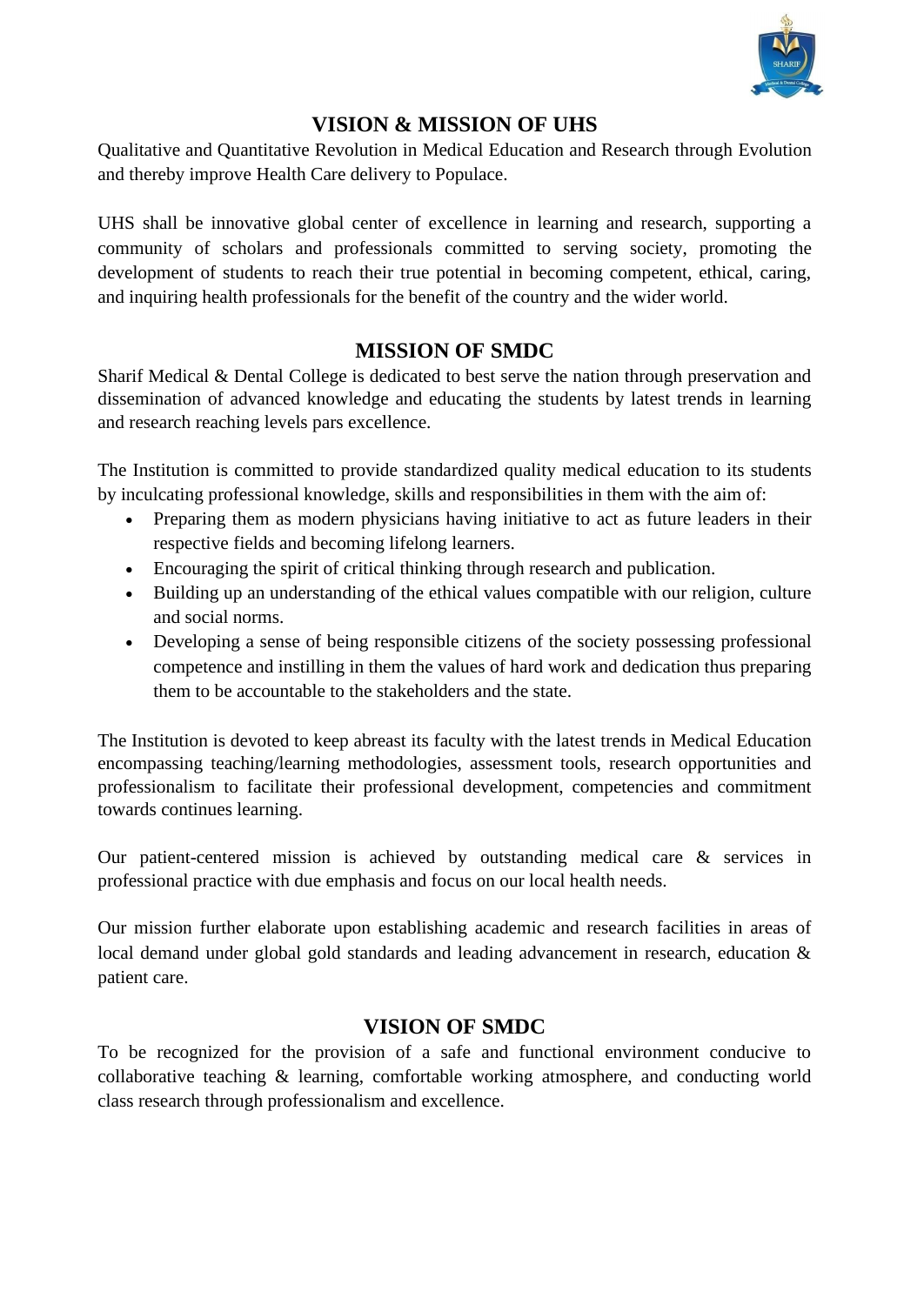

#### **VISION & MISSION OF UHS**

Qualitative and Quantitative Revolution in Medical Education and Research through Evolution and thereby improve Health Care delivery to Populace.

UHS shall be innovative global center of excellence in learning and research, supporting a community of scholars and professionals committed to serving society, promoting the development of students to reach their true potential in becoming competent, ethical, caring, and inquiring health professionals for the benefit of the country and the wider world.

#### **MISSION OF SMDC**

Sharif Medical & Dental College is dedicated to best serve the nation through preservation and dissemination of advanced knowledge and educating the students by latest trends in learning and research reaching levels pars excellence.

The Institution is committed to provide standardized quality medical education to its students by inculcating professional knowledge, skills and responsibilities in them with the aim of:

- Preparing them as modern physicians having initiative to act as future leaders in their respective fields and becoming lifelong learners.
- Encouraging the spirit of critical thinking through research and publication.
- Building up an understanding of the ethical values compatible with our religion, culture and social norms.
- Developing a sense of being responsible citizens of the society possessing professional competence and instilling in them the values of hard work and dedication thus preparing them to be accountable to the stakeholders and the state.

The Institution is devoted to keep abreast its faculty with the latest trends in Medical Education encompassing teaching/learning methodologies, assessment tools, research opportunities and professionalism to facilitate their professional development, competencies and commitment towards continues learning.

Our patient-centered mission is achieved by outstanding medical care & services in professional practice with due emphasis and focus on our local health needs.

Our mission further elaborate upon establishing academic and research facilities in areas of local demand under global gold standards and leading advancement in research, education & patient care.

#### **VISION OF SMDC**

To be recognized for the provision of a safe and functional environment conducive to collaborative teaching & learning, comfortable working atmosphere, and conducting world class research through professionalism and excellence.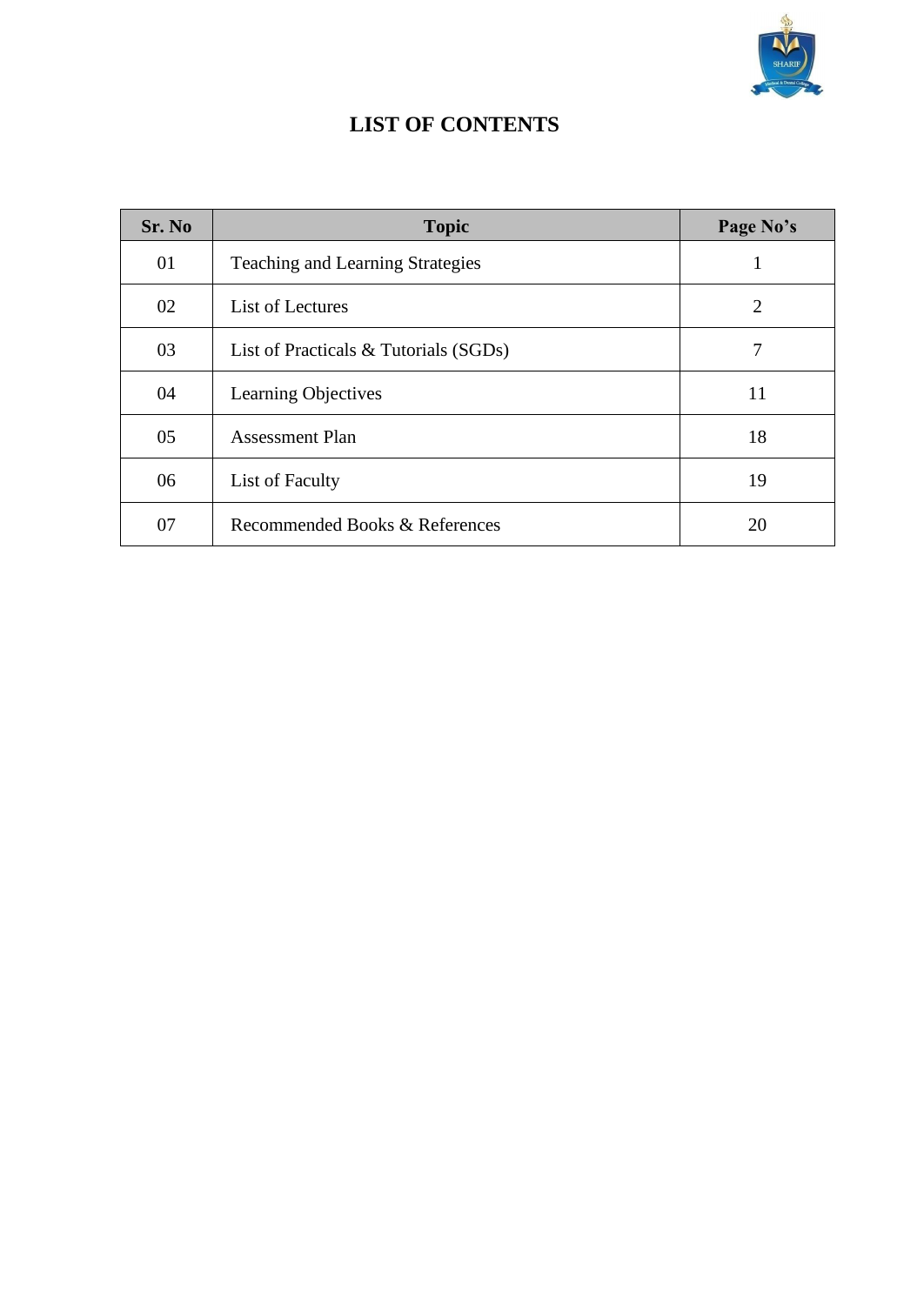

## **LIST OF CONTENTS**

| Sr. No | <b>Topic</b>                            | Page No's      |
|--------|-----------------------------------------|----------------|
| 01     | <b>Teaching and Learning Strategies</b> |                |
| 02     | List of Lectures                        | $\overline{2}$ |
| 03     | List of Practicals & Tutorials (SGDs)   | 7              |
| 04     | Learning Objectives                     | 11             |
| 05     | <b>Assessment Plan</b>                  | 18             |
| 06     | List of Faculty                         | 19             |
| 07     | Recommended Books & References          | 20             |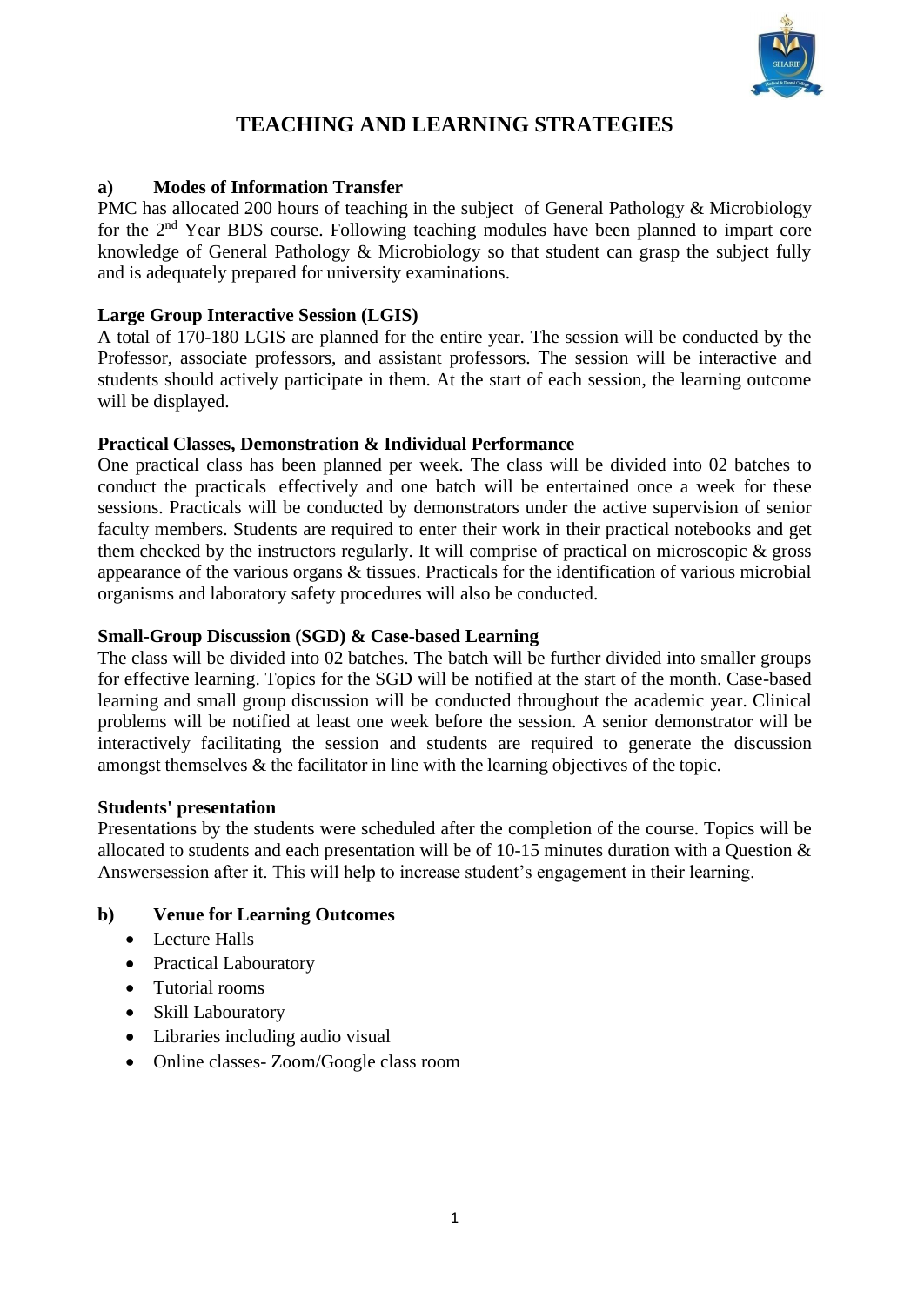

## **TEACHING AND LEARNING STRATEGIES**

#### **a) Modes of Information Transfer**

PMC has allocated 200 hours of teaching in the subject of General Pathology & Microbiology for the 2nd Year BDS course. Following teaching modules have been planned to impart core knowledge of General Pathology & Microbiology so that student can grasp the subject fully and is adequately prepared for university examinations.

#### **Large Group Interactive Session (LGIS)**

A total of 170-180 LGIS are planned for the entire year. The session will be conducted by the Professor, associate professors, and assistant professors. The session will be interactive and students should actively participate in them. At the start of each session, the learning outcome will be displayed.

#### **Practical Classes, Demonstration & Individual Performance**

One practical class has been planned per week. The class will be divided into 02 batches to conduct the practicals effectively and one batch will be entertained once a week for these sessions. Practicals will be conducted by demonstrators under the active supervision of senior faculty members. Students are required to enter their work in their practical notebooks and get them checked by the instructors regularly. It will comprise of practical on microscopic & gross appearance of the various organs & tissues. Practicals for the identification of various microbial organisms and laboratory safety procedures will also be conducted.

#### **Small-Group Discussion (SGD) & Case-based Learning**

The class will be divided into 02 batches. The batch will be further divided into smaller groups for effective learning. Topics for the SGD will be notified at the start of the month. Case-based learning and small group discussion will be conducted throughout the academic year. Clinical problems will be notified at least one week before the session. A senior demonstrator will be interactively facilitating the session and students are required to generate the discussion amongst themselves & the facilitator in line with the learning objectives of the topic.

#### **Students' presentation**

Presentations by the students were scheduled after the completion of the course. Topics will be allocated to students and each presentation will be of 10-15 minutes duration with a Question & Answersession after it. This will help to increase student's engagement in their learning.

#### **b) Venue for Learning Outcomes**

- Lecture Halls
- Practical Labouratory
- Tutorial rooms
- Skill Labouratory
- Libraries including audio visual
- Online classes- Zoom/Google class room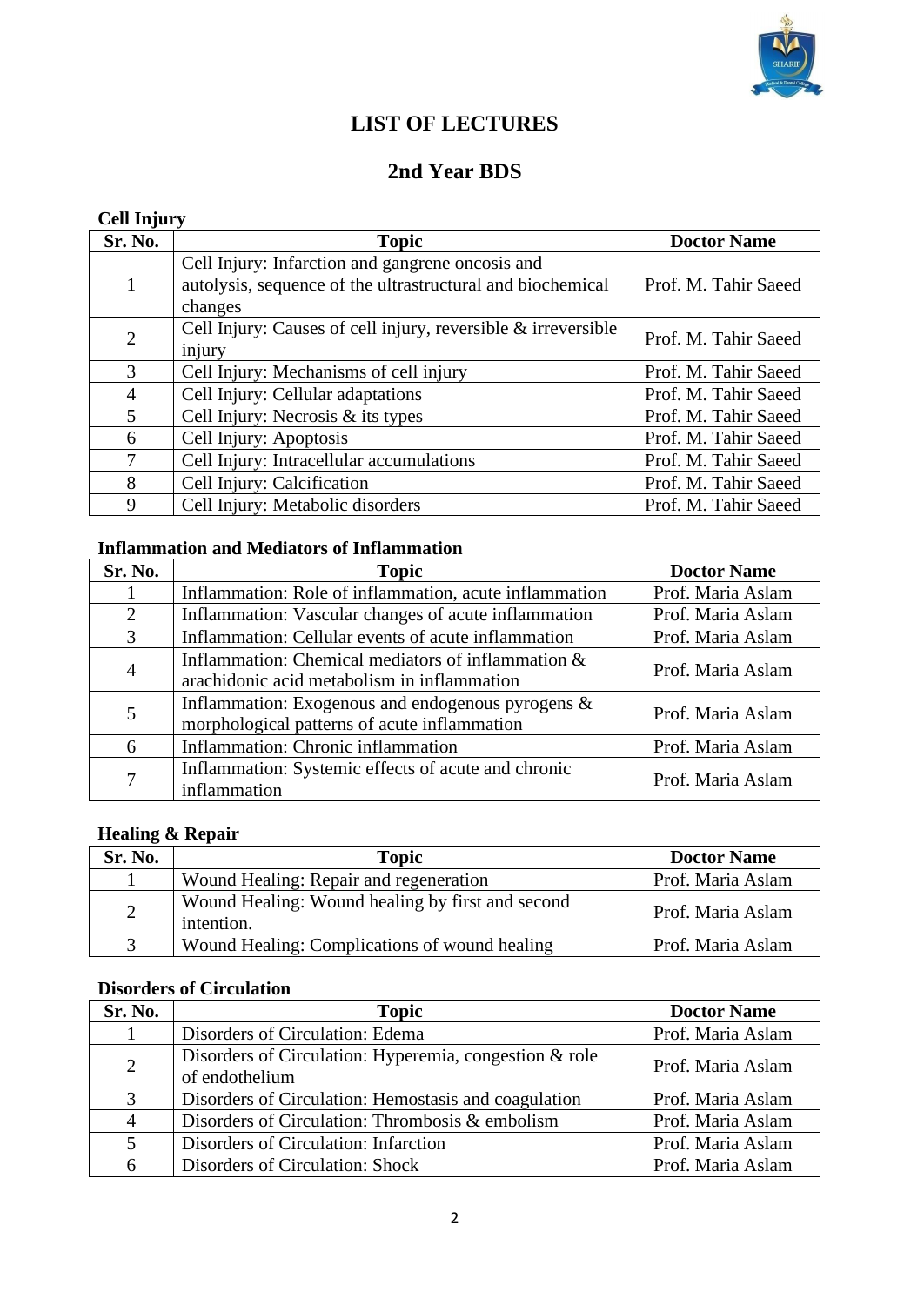

## **LIST OF LECTURES**

## **2nd Year BDS**

| <b>Cell Injury</b> |                                                                                                                           |                      |
|--------------------|---------------------------------------------------------------------------------------------------------------------------|----------------------|
| Sr. No.            | <b>Topic</b>                                                                                                              | <b>Doctor Name</b>   |
| $\mathbf{1}$       | Cell Injury: Infarction and gangrene oncosis and<br>autolysis, sequence of the ultrastructural and biochemical<br>changes | Prof. M. Tahir Saeed |
| $\overline{2}$     | Cell Injury: Causes of cell injury, reversible & irreversible<br>injury                                                   | Prof. M. Tahir Saeed |
| 3                  | Cell Injury: Mechanisms of cell injury                                                                                    | Prof. M. Tahir Saeed |
| 4                  | Cell Injury: Cellular adaptations                                                                                         | Prof. M. Tahir Saeed |
| 5                  | Cell Injury: Necrosis $&$ its types                                                                                       | Prof. M. Tahir Saeed |
| 6                  | Cell Injury: Apoptosis                                                                                                    | Prof. M. Tahir Saeed |
| 7                  | Cell Injury: Intracellular accumulations                                                                                  | Prof. M. Tahir Saeed |
| 8                  | Cell Injury: Calcification                                                                                                | Prof. M. Tahir Saeed |
| 9                  | Cell Injury: Metabolic disorders                                                                                          | Prof. M. Tahir Saeed |

#### **Inflammation and Mediators of Inflammation**

| Sr. No. | <b>Topic</b>                                                                                         | <b>Doctor Name</b> |
|---------|------------------------------------------------------------------------------------------------------|--------------------|
|         | Inflammation: Role of inflammation, acute inflammation                                               | Prof. Maria Aslam  |
| 2       | Inflammation: Vascular changes of acute inflammation                                                 | Prof. Maria Aslam  |
| 3       | Inflammation: Cellular events of acute inflammation                                                  | Prof. Maria Aslam  |
| 4       | Inflammation: Chemical mediators of inflammation &<br>arachidonic acid metabolism in inflammation    | Prof. Maria Aslam  |
| 5       | Inflammation: Exogenous and endogenous pyrogens $\&$<br>morphological patterns of acute inflammation | Prof. Maria Aslam  |
| 6       | Inflammation: Chronic inflammation                                                                   | Prof. Maria Aslam  |
| 7       | Inflammation: Systemic effects of acute and chronic<br>inflammation                                  | Prof. Maria Aslam  |

## **Healing & Repair**

| Sr. No.        | <b>Topic</b>                                                   | <b>Doctor Name</b> |
|----------------|----------------------------------------------------------------|--------------------|
|                | Wound Healing: Repair and regeneration                         | Prof. Maria Aslam  |
| $\overline{2}$ | Wound Healing: Wound healing by first and second<br>intention. | Prof. Maria Aslam  |
|                | Wound Healing: Complications of wound healing                  | Prof. Maria Aslam  |

#### **Disorders of Circulation**

| Sr. No.        | <b>Topic</b>                                                             | <b>Doctor Name</b> |
|----------------|--------------------------------------------------------------------------|--------------------|
|                | Disorders of Circulation: Edema                                          | Prof. Maria Aslam  |
| $\overline{2}$ | Disorders of Circulation: Hyperemia, congestion & role<br>of endothelium | Prof. Maria Aslam  |
| 3              | Disorders of Circulation: Hemostasis and coagulation                     | Prof. Maria Aslam  |
| $\overline{4}$ | Disorders of Circulation: Thrombosis & embolism                          | Prof. Maria Aslam  |
| 5              | Disorders of Circulation: Infarction                                     | Prof. Maria Aslam  |
| 6              | Disorders of Circulation: Shock                                          | Prof. Maria Aslam  |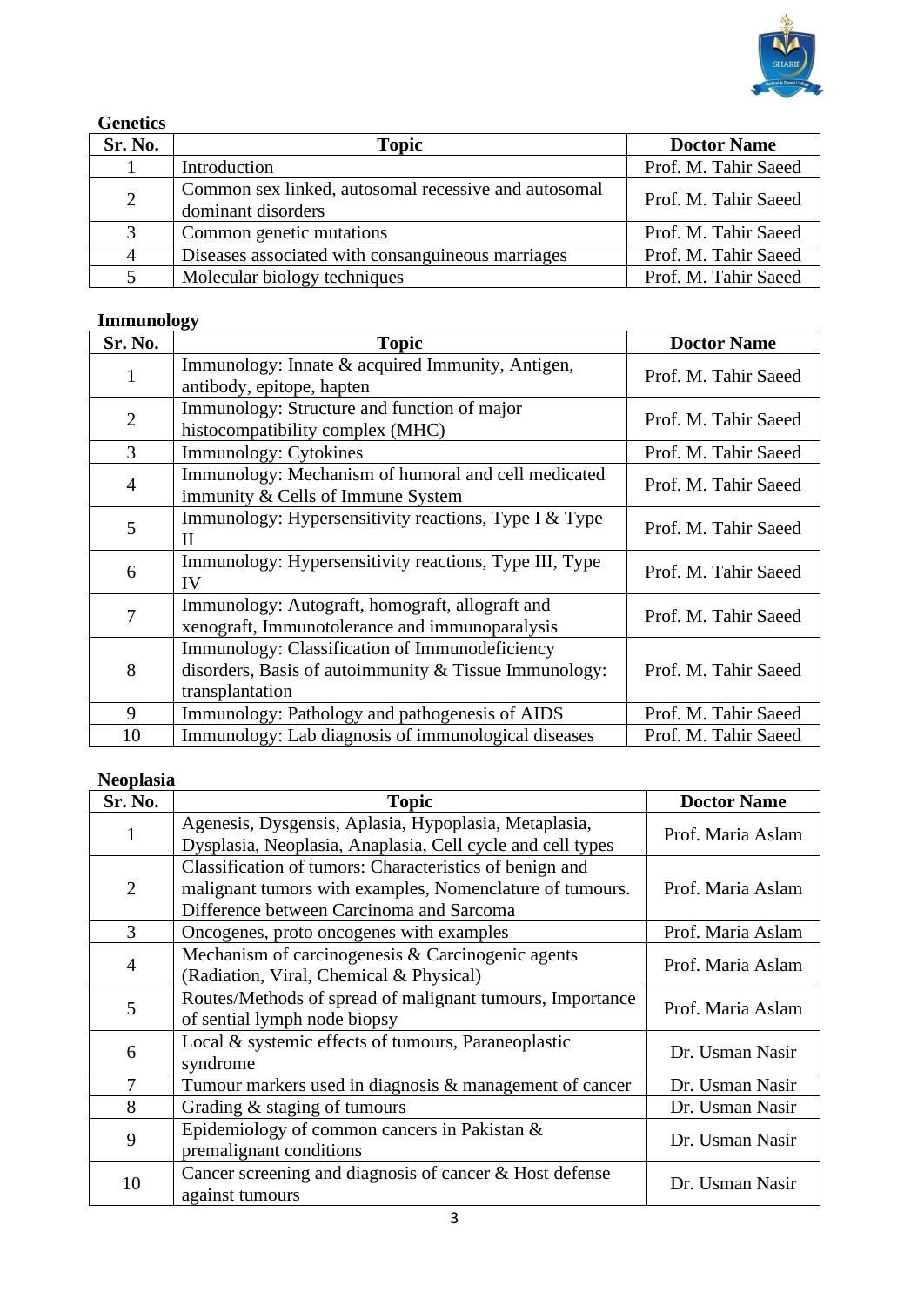

#### **Genetics**

| Sr. No.        | <b>Topic</b>                                                               | <b>Doctor Name</b>   |
|----------------|----------------------------------------------------------------------------|----------------------|
|                | Introduction                                                               | Prof. M. Tahir Saeed |
| 2              | Common sex linked, autosomal recessive and autosomal<br>dominant disorders | Prof. M. Tahir Saeed |
| 3              | Common genetic mutations                                                   | Prof. M. Tahir Saeed |
| $\overline{4}$ | Diseases associated with consanguineous marriages                          | Prof. M. Tahir Saeed |
|                | Molecular biology techniques                                               | Prof. M. Tahir Saeed |

## **Immunology**

| Sr. No.        | ~<br><b>Topic</b>                                                                                                          | <b>Doctor Name</b>   |
|----------------|----------------------------------------------------------------------------------------------------------------------------|----------------------|
| 1              | Immunology: Innate & acquired Immunity, Antigen,<br>antibody, epitope, hapten                                              | Prof. M. Tahir Saeed |
| $\overline{2}$ | Immunology: Structure and function of major<br>histocompatibility complex (MHC)                                            | Prof. M. Tahir Saeed |
| 3              | Immunology: Cytokines                                                                                                      | Prof. M. Tahir Saeed |
| $\overline{4}$ | Immunology: Mechanism of humoral and cell medicated<br>immunity & Cells of Immune System                                   | Prof. M. Tahir Saeed |
| 5              | Immunology: Hypersensitivity reactions, Type I & Type<br>П                                                                 | Prof. M. Tahir Saeed |
| 6              | Immunology: Hypersensitivity reactions, Type III, Type<br>IV                                                               | Prof. M. Tahir Saeed |
| 7              | Immunology: Autograft, homograft, allograft and<br>xenograft, Immunotolerance and immunoparalysis                          | Prof. M. Tahir Saeed |
| 8              | Immunology: Classification of Immunodeficiency<br>disorders, Basis of autoimmunity & Tissue Immunology:<br>transplantation | Prof. M. Tahir Saeed |
| 9              | Immunology: Pathology and pathogenesis of AIDS                                                                             | Prof. M. Tahir Saeed |
| 10             | Immunology: Lab diagnosis of immunological diseases                                                                        | Prof. M. Tahir Saeed |

## **Neoplasia**

| Sr. No.        | <b>Topic</b>                                                                                                                                                    | <b>Doctor Name</b> |
|----------------|-----------------------------------------------------------------------------------------------------------------------------------------------------------------|--------------------|
| $\mathbf{1}$   | Agenesis, Dysgensis, Aplasia, Hypoplasia, Metaplasia,<br>Dysplasia, Neoplasia, Anaplasia, Cell cycle and cell types                                             | Prof. Maria Aslam  |
| $\overline{2}$ | Classification of tumors: Characteristics of benign and<br>malignant tumors with examples, Nomenclature of tumours.<br>Difference between Carcinoma and Sarcoma | Prof. Maria Aslam  |
| 3              | Oncogenes, proto oncogenes with examples                                                                                                                        | Prof. Maria Aslam  |
| $\overline{4}$ | Mechanism of carcinogenesis & Carcinogenic agents<br>(Radiation, Viral, Chemical & Physical)                                                                    | Prof. Maria Aslam  |
| 5              | Routes/Methods of spread of malignant tumours, Importance<br>of sential lymph node biopsy                                                                       | Prof. Maria Aslam  |
| 6              | Local & systemic effects of tumours, Paraneoplastic<br>syndrome                                                                                                 | Dr. Usman Nasir    |
| 7              | Tumour markers used in diagnosis & management of cancer                                                                                                         | Dr. Usman Nasir    |
| 8              | Grading & staging of tumours                                                                                                                                    | Dr. Usman Nasir    |
| 9              | Epidemiology of common cancers in Pakistan &<br>premalignant conditions                                                                                         | Dr. Usman Nasir    |
| 10             | Cancer screening and diagnosis of cancer $\&$ Host defense<br>against tumours                                                                                   | Dr. Usman Nasir    |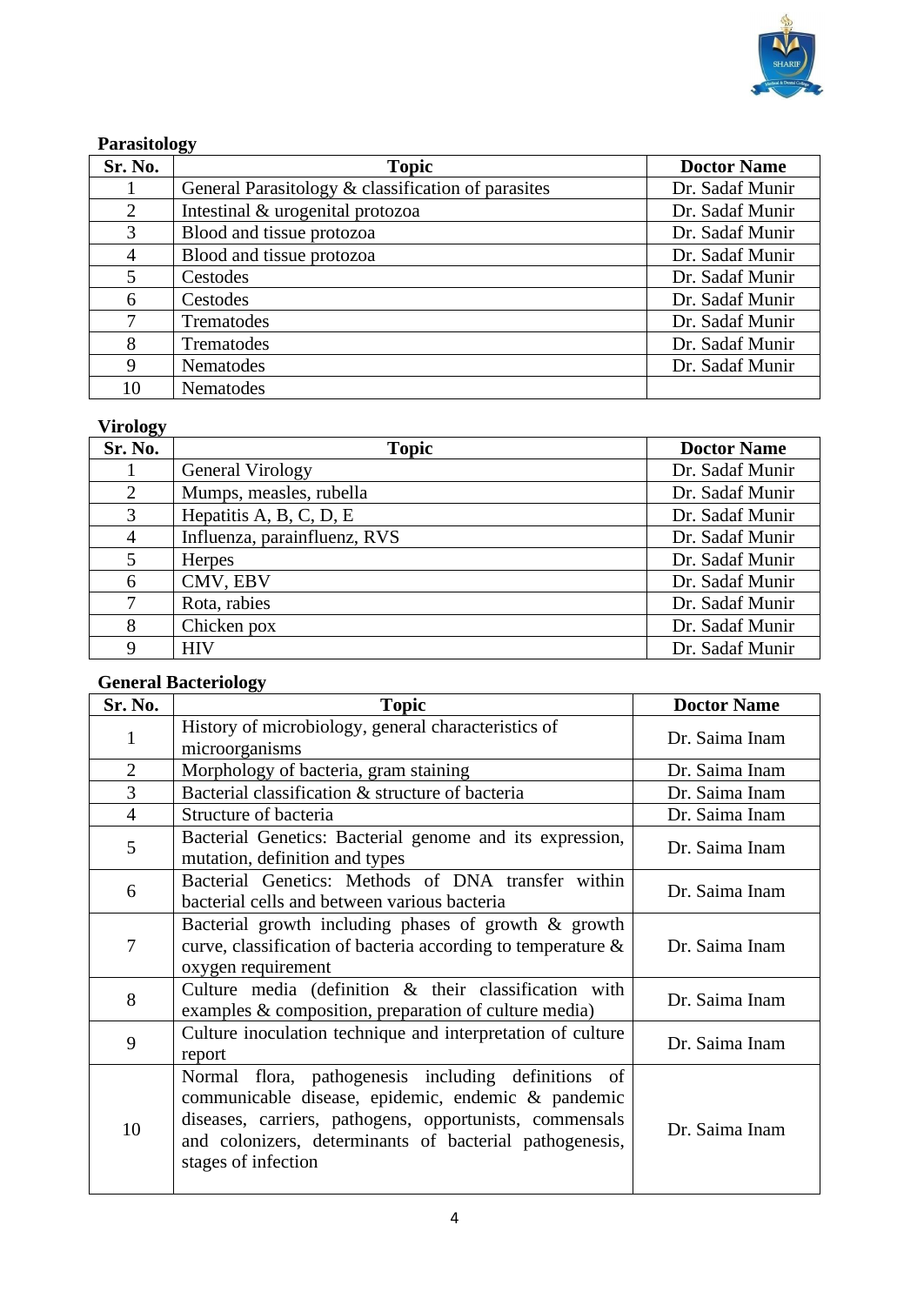

#### **Parasitology**

| Sr. No. | ັ<br><b>Topic</b>                                  | <b>Doctor Name</b> |
|---------|----------------------------------------------------|--------------------|
|         | General Parasitology & classification of parasites | Dr. Sadaf Munir    |
| 2       | Intestinal & urogenital protozoa                   | Dr. Sadaf Munir    |
| 3       | Blood and tissue protozoa                          | Dr. Sadaf Munir    |
| 4       | Blood and tissue protozoa                          | Dr. Sadaf Munir    |
| 5       | Cestodes                                           | Dr. Sadaf Munir    |
| 6       | Cestodes                                           | Dr. Sadaf Munir    |
| 7       | Trematodes                                         | Dr. Sadaf Munir    |
| 8       | Trematodes                                         | Dr. Sadaf Munir    |
| 9       | Nematodes                                          | Dr. Sadaf Munir    |
| 10      | Nematodes                                          |                    |

## **Virology**

| $\sim$<br>Sr. No. | <b>Topic</b>                 | <b>Doctor Name</b> |
|-------------------|------------------------------|--------------------|
|                   | General Virology             | Dr. Sadaf Munir    |
| $\overline{2}$    | Mumps, measles, rubella      | Dr. Sadaf Munir    |
| 3                 | Hepatitis A, B, C, D, E      | Dr. Sadaf Munir    |
| 4                 | Influenza, parainfluenz, RVS | Dr. Sadaf Munir    |
| 5                 | <b>Herpes</b>                | Dr. Sadaf Munir    |
| 6                 | CMV, EBV                     | Dr. Sadaf Munir    |
| 7                 | Rota, rabies                 | Dr. Sadaf Munir    |
| 8                 | Chicken pox                  | Dr. Sadaf Munir    |
| $\mathbf Q$       | <b>HIV</b>                   | Dr. Sadaf Munir    |

## **General Bacteriology**

| Sr. No.        | <b>Topic</b>                                                                                                                                                                                                                                           | <b>Doctor Name</b> |
|----------------|--------------------------------------------------------------------------------------------------------------------------------------------------------------------------------------------------------------------------------------------------------|--------------------|
| $\mathbf{1}$   | History of microbiology, general characteristics of                                                                                                                                                                                                    | Dr. Saima Inam     |
|                | microorganisms                                                                                                                                                                                                                                         |                    |
| $\overline{2}$ | Morphology of bacteria, gram staining                                                                                                                                                                                                                  | Dr. Saima Inam     |
| 3              | Bacterial classification & structure of bacteria                                                                                                                                                                                                       | Dr. Saima Inam     |
| $\overline{4}$ | Structure of bacteria                                                                                                                                                                                                                                  | Dr. Saima Inam     |
| 5              | Bacterial Genetics: Bacterial genome and its expression,<br>mutation, definition and types                                                                                                                                                             | Dr. Saima Inam     |
| 6              | Bacterial Genetics: Methods of DNA transfer within<br>bacterial cells and between various bacteria                                                                                                                                                     | Dr. Saima Inam     |
| 7              | Bacterial growth including phases of growth & growth<br>curve, classification of bacteria according to temperature $\&$<br>oxygen requirement                                                                                                          | Dr. Saima Inam     |
| 8              | Culture media (definition & their classification with<br>examples $&$ composition, preparation of culture media)                                                                                                                                       | Dr. Saima Inam     |
| 9              | Culture inoculation technique and interpretation of culture<br>report                                                                                                                                                                                  | Dr. Saima Inam     |
| 10             | Normal flora, pathogenesis including definitions of<br>communicable disease, epidemic, endemic & pandemic<br>diseases, carriers, pathogens, opportunists, commensals<br>and colonizers, determinants of bacterial pathogenesis,<br>stages of infection | Dr. Saima Inam     |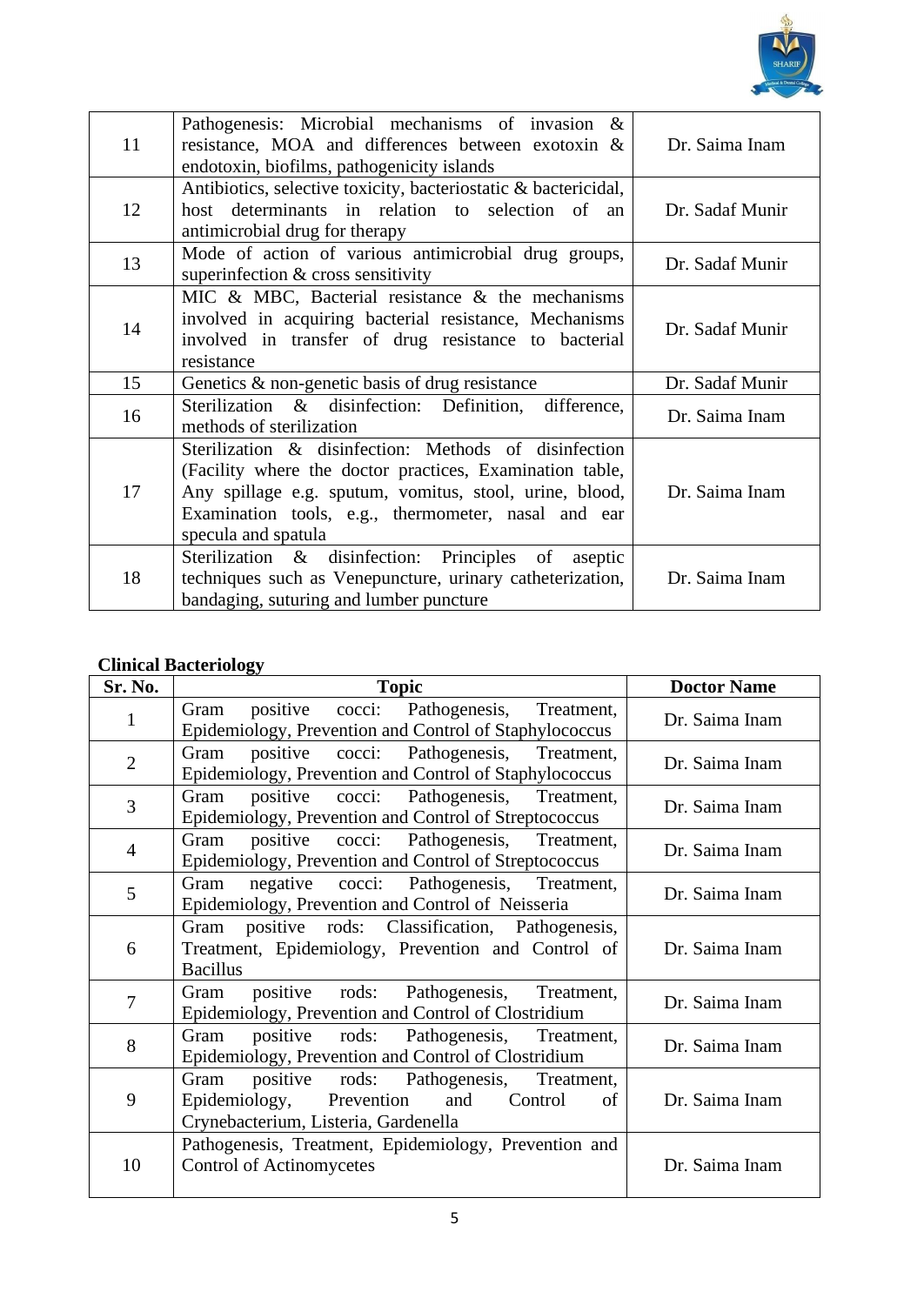

| 11 | Pathogenesis: Microbial mechanisms of invasion $\&$<br>resistance, MOA and differences between exotoxin &<br>endotoxin, biofilms, pathogenicity islands                                                                                                    | Dr. Saima Inam  |
|----|------------------------------------------------------------------------------------------------------------------------------------------------------------------------------------------------------------------------------------------------------------|-----------------|
| 12 | Antibiotics, selective toxicity, bacteriostatic & bactericidal,<br>host determinants in relation to selection of<br>an<br>antimicrobial drug for therapy                                                                                                   | Dr. Sadaf Munir |
| 13 | Mode of action of various antimicrobial drug groups,<br>superinfection $&$ cross sensitivity                                                                                                                                                               | Dr. Sadaf Munir |
| 14 | MIC & MBC, Bacterial resistance $\&$ the mechanisms<br>involved in acquiring bacterial resistance, Mechanisms<br>involved in transfer of drug resistance to bacterial<br>resistance                                                                        | Dr. Sadaf Munir |
| 15 | Genetics $\&$ non-genetic basis of drug resistance                                                                                                                                                                                                         | Dr. Sadaf Munir |
| 16 | Sterilization & disinfection: Definition,<br>difference,<br>methods of sterilization                                                                                                                                                                       | Dr. Saima Inam  |
| 17 | Sterilization & disinfection: Methods of disinfection<br>(Facility where the doctor practices, Examination table,<br>Any spillage e.g. sputum, vomitus, stool, urine, blood,<br>Examination tools, e.g., thermometer, nasal and ear<br>specula and spatula | Dr. Saima Inam  |
| 18 | Sterilization & disinfection: Principles of<br>aseptic<br>techniques such as Venepuncture, urinary catheterization,<br>bandaging, suturing and lumber puncture                                                                                             | Dr. Saima Inam  |

## **Clinical Bacteriology**

| Sr. No.        | <b>Topic</b>                                           | <b>Doctor Name</b> |
|----------------|--------------------------------------------------------|--------------------|
| $\mathbf{1}$   | positive cocci: Pathogenesis, Treatment,<br>Gram       | Dr. Saima Inam     |
|                | Epidemiology, Prevention and Control of Staphylococcus |                    |
| $\overline{2}$ | positive cocci: Pathogenesis, Treatment,<br>Gram       | Dr. Saima Inam     |
|                | Epidemiology, Prevention and Control of Staphylococcus |                    |
| $\overline{3}$ | positive cocci: Pathogenesis, Treatment,<br>Gram       | Dr. Saima Inam     |
|                | Epidemiology, Prevention and Control of Streptococcus  |                    |
| $\overline{4}$ | positive cocci: Pathogenesis, Treatment,<br>Gram       | Dr. Saima Inam     |
|                | Epidemiology, Prevention and Control of Streptococcus  |                    |
| 5              | negative cocci: Pathogenesis, Treatment,<br>Gram       | Dr. Saima Inam     |
|                | Epidemiology, Prevention and Control of Neisseria      |                    |
|                | positive rods: Classification, Pathogenesis,<br>Gram   |                    |
| 6              | Treatment, Epidemiology, Prevention and Control of     | Dr. Saima Inam     |
|                | <b>Bacillus</b>                                        |                    |
| $\overline{7}$ | positive rods: Pathogenesis, Treatment,<br>Gram        | Dr. Saima Inam     |
|                | Epidemiology, Prevention and Control of Clostridium    |                    |
| 8              | positive rods: Pathogenesis, Treatment,<br>Gram        | Dr. Saima Inam     |
|                | Epidemiology, Prevention and Control of Clostridium    |                    |
|                | positive rods: Pathogenesis, Treatment,<br>Gram        |                    |
| 9              | Epidemiology, Prevention<br>and<br>Control<br>of       | Dr. Saima Inam     |
|                | Crynebacterium, Listeria, Gardenella                   |                    |
|                | Pathogenesis, Treatment, Epidemiology, Prevention and  |                    |
| 10             | <b>Control of Actinomycetes</b>                        | Dr. Saima Inam     |
|                |                                                        |                    |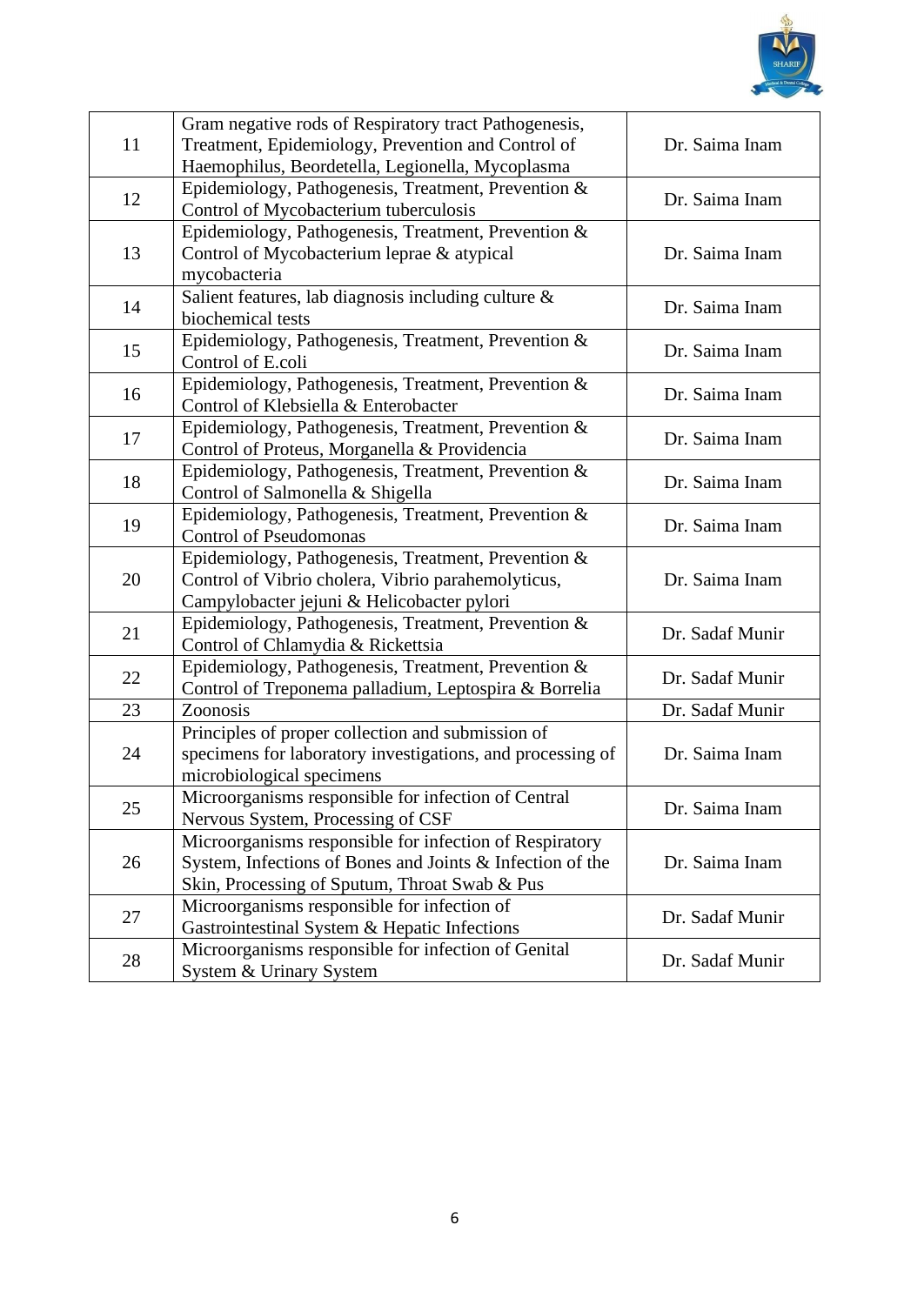

| 11 | Gram negative rods of Respiratory tract Pathogenesis,<br>Treatment, Epidemiology, Prevention and Control of                                                           | Dr. Saima Inam  |
|----|-----------------------------------------------------------------------------------------------------------------------------------------------------------------------|-----------------|
|    | Haemophilus, Beordetella, Legionella, Mycoplasma                                                                                                                      |                 |
| 12 | Epidemiology, Pathogenesis, Treatment, Prevention &<br>Control of Mycobacterium tuberculosis                                                                          | Dr. Saima Inam  |
| 13 | Epidemiology, Pathogenesis, Treatment, Prevention &<br>Control of Mycobacterium leprae & atypical<br>mycobacteria                                                     | Dr. Saima Inam  |
| 14 | Salient features, lab diagnosis including culture $\&$<br>biochemical tests                                                                                           | Dr. Saima Inam  |
| 15 | Epidemiology, Pathogenesis, Treatment, Prevention &<br>Control of E.coli                                                                                              | Dr. Saima Inam  |
| 16 | Epidemiology, Pathogenesis, Treatment, Prevention &<br>Control of Klebsiella & Enterobacter                                                                           | Dr. Saima Inam  |
| 17 | Epidemiology, Pathogenesis, Treatment, Prevention &<br>Control of Proteus, Morganella & Providencia                                                                   | Dr. Saima Inam  |
| 18 | Epidemiology, Pathogenesis, Treatment, Prevention &<br>Control of Salmonella & Shigella                                                                               | Dr. Saima Inam  |
| 19 | Epidemiology, Pathogenesis, Treatment, Prevention &<br><b>Control of Pseudomonas</b>                                                                                  | Dr. Saima Inam  |
| 20 | Epidemiology, Pathogenesis, Treatment, Prevention &<br>Control of Vibrio cholera, Vibrio parahemolyticus,<br>Campylobacter jejuni & Helicobacter pylori               | Dr. Saima Inam  |
| 21 | Epidemiology, Pathogenesis, Treatment, Prevention &<br>Control of Chlamydia & Rickettsia                                                                              | Dr. Sadaf Munir |
| 22 | Epidemiology, Pathogenesis, Treatment, Prevention &<br>Control of Treponema palladium, Leptospira & Borrelia                                                          | Dr. Sadaf Munir |
| 23 | Zoonosis                                                                                                                                                              | Dr. Sadaf Munir |
| 24 | Principles of proper collection and submission of<br>specimens for laboratory investigations, and processing of<br>microbiological specimens                          | Dr. Saima Inam  |
| 25 | Microorganisms responsible for infection of Central<br>Nervous System, Processing of CSF                                                                              | Dr. Saima Inam  |
| 26 | Microorganisms responsible for infection of Respiratory<br>System, Infections of Bones and Joints & Infection of the<br>Skin, Processing of Sputum, Throat Swab & Pus | Dr. Saima Inam  |
| 27 | Microorganisms responsible for infection of<br>Gastrointestinal System & Hepatic Infections                                                                           | Dr. Sadaf Munir |
| 28 | Microorganisms responsible for infection of Genital<br><b>System &amp; Urinary System</b>                                                                             | Dr. Sadaf Munir |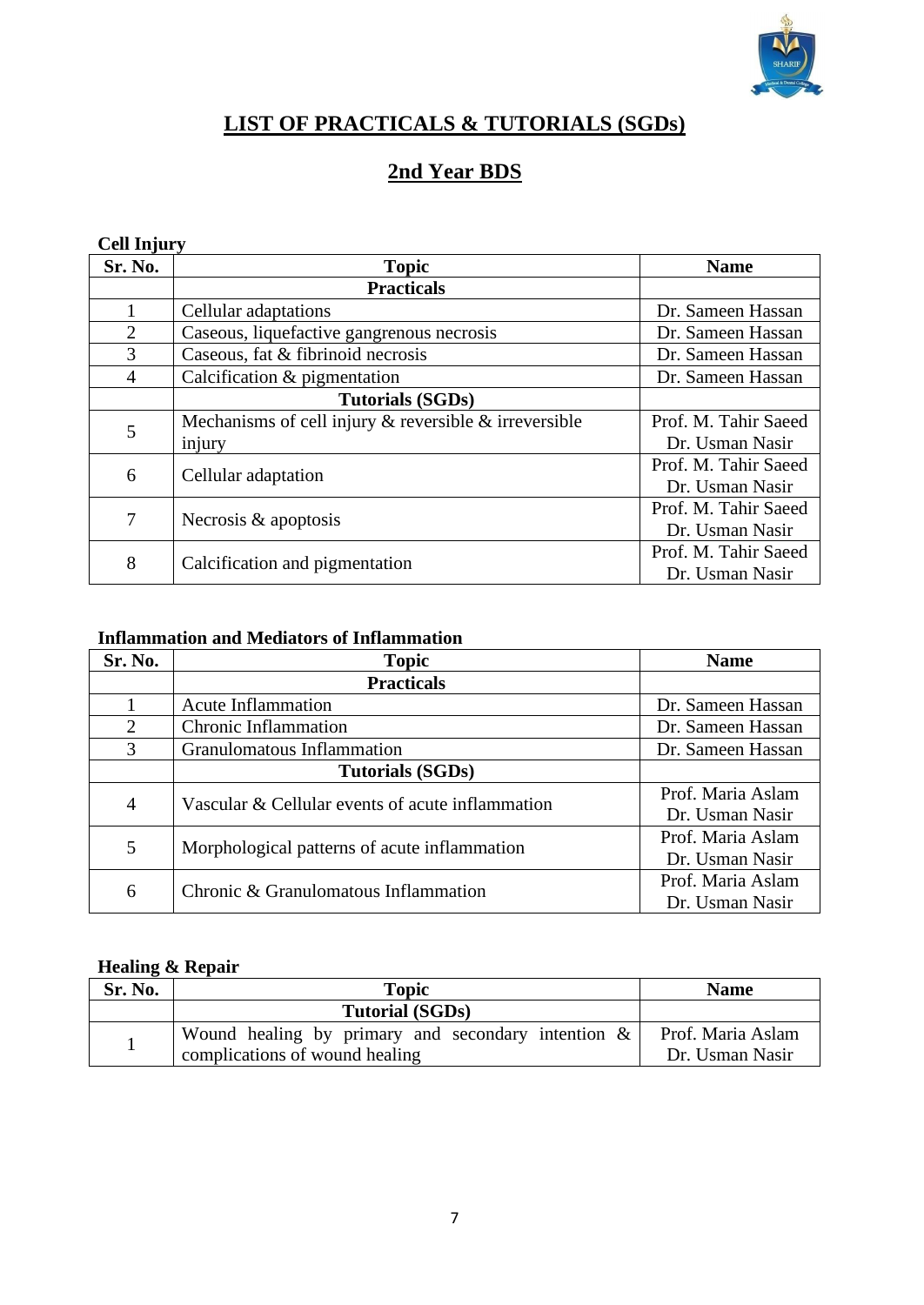

## **LIST OF PRACTICALS & TUTORIALS (SGDs)**

## **2nd Year BDS**

#### **Cell Injury**

| Sr. No.        | <b>Topic</b>                                                | <b>Name</b>          |
|----------------|-------------------------------------------------------------|----------------------|
|                | <b>Practicals</b>                                           |                      |
|                | Cellular adaptations                                        | Dr. Sameen Hassan    |
| $\overline{2}$ | Caseous, liquefactive gangrenous necrosis                   | Dr. Sameen Hassan    |
| 3              | Caseous, fat & fibrinoid necrosis                           | Dr. Sameen Hassan    |
| 4              | Calcification & pigmentation                                | Dr. Sameen Hassan    |
|                | <b>Tutorials (SGDs)</b>                                     |                      |
| 5              | Mechanisms of cell injury $\&$ reversible $\&$ irreversible | Prof. M. Tahir Saeed |
|                | injury                                                      | Dr. Usman Nasir      |
| 6              |                                                             | Prof. M. Tahir Saeed |
|                | Cellular adaptation                                         | Dr. Usman Nasir      |
| 7              | Necrosis & apoptosis                                        | Prof. M. Tahir Saeed |
|                |                                                             | Dr. Usman Nasir      |
| 8              | Calcification and pigmentation                              | Prof. M. Tahir Saeed |
|                |                                                             | Dr. Usman Nasir      |

#### **Inflammation and Mediators of Inflammation**

| Sr. No.                     | <b>Topic</b>                                     | <b>Name</b>       |
|-----------------------------|--------------------------------------------------|-------------------|
|                             | <b>Practicals</b>                                |                   |
|                             | <b>Acute Inflammation</b>                        | Dr. Sameen Hassan |
| $\mathcal{D}_{\mathcal{L}}$ | <b>Chronic Inflammation</b>                      | Dr. Sameen Hassan |
| 3                           | Granulomatous Inflammation                       | Dr. Sameen Hassan |
|                             | <b>Tutorials (SGDs)</b>                          |                   |
| $\overline{4}$              | Vascular & Cellular events of acute inflammation | Prof. Maria Aslam |
|                             |                                                  | Dr. Usman Nasir   |
| 5                           | Morphological patterns of acute inflammation     | Prof. Maria Aslam |
|                             |                                                  | Dr. Usman Nasir   |
| 6                           | Chronic & Granulomatous Inflammation             | Prof. Maria Aslam |
|                             |                                                  | Dr. Usman Nasir   |

#### **Healing & Repair**

| Sr. No. | <b>Topic</b>                                          | <b>Name</b>       |
|---------|-------------------------------------------------------|-------------------|
|         | <b>Tutorial (SGDs)</b>                                |                   |
|         | Wound healing by primary and secondary intention $\&$ | Prof. Maria Aslam |
|         | complications of wound healing                        | Dr. Usman Nasir   |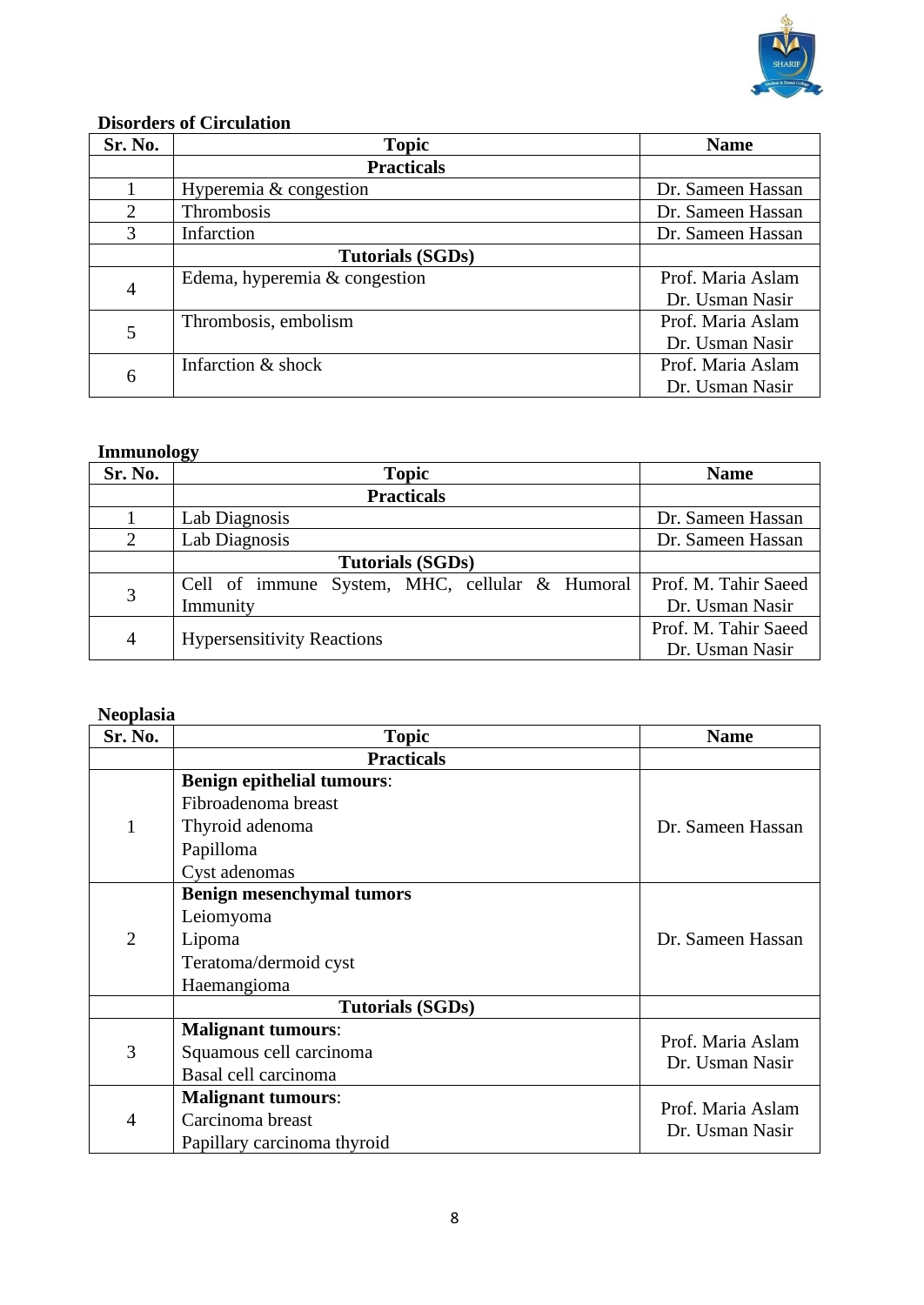

## **Disorders of Circulation**

| Sr. No.                     | <b>Topic</b>                    | <b>Name</b>       |
|-----------------------------|---------------------------------|-------------------|
|                             | <b>Practicals</b>               |                   |
|                             | Hyperemia & congestion          | Dr. Sameen Hassan |
| $\mathcal{D}_{\mathcal{L}}$ | Thrombosis                      | Dr. Sameen Hassan |
| 3                           | Infarction                      | Dr. Sameen Hassan |
|                             | <b>Tutorials (SGDs)</b>         |                   |
| 4                           | Edema, hyperemia $&$ congestion | Prof. Maria Aslam |
|                             |                                 | Dr. Usman Nasir   |
| 5                           | Thrombosis, embolism            | Prof. Maria Aslam |
|                             |                                 | Dr. Usman Nasir   |
|                             | Infarction & shock              | Prof. Maria Aslam |
| 6                           |                                 | Dr. Usman Nasir   |

#### **Immunology**

| Sr. No.        | ັ<br><b>Topic</b>                              | <b>Name</b>          |
|----------------|------------------------------------------------|----------------------|
|                | <b>Practicals</b>                              |                      |
|                | Lab Diagnosis                                  | Dr. Sameen Hassan    |
| $\overline{2}$ | Lab Diagnosis                                  | Dr. Sameen Hassan    |
|                | <b>Tutorials (SGDs)</b>                        |                      |
| 3              | Cell of immune System, MHC, cellular & Humoral | Prof. M. Tahir Saeed |
|                | Immunity                                       | Dr. Usman Nasir      |
| $\overline{4}$ |                                                | Prof. M. Tahir Saeed |
|                | <b>Hypersensitivity Reactions</b>              | Dr. Usman Nasir      |

#### **Neoplasia**

| <b>Sr. No.</b> | <b>Topic</b>                      | <b>Name</b>       |
|----------------|-----------------------------------|-------------------|
|                | <b>Practicals</b>                 |                   |
|                | <b>Benign epithelial tumours:</b> |                   |
|                | Fibroadenoma breast               |                   |
| $\mathbf{1}$   | Thyroid adenoma                   | Dr. Sameen Hassan |
|                | Papilloma                         |                   |
|                | Cyst adenomas                     |                   |
|                | <b>Benign mesenchymal tumors</b>  |                   |
|                | Leiomyoma                         |                   |
| $\overline{2}$ | Lipoma                            | Dr. Sameen Hassan |
|                | Teratoma/dermoid cyst             |                   |
|                | Haemangioma                       |                   |
|                | <b>Tutorials (SGDs)</b>           |                   |
|                | <b>Malignant tumours:</b>         | Prof. Maria Aslam |
| 3              | Squamous cell carcinoma           | Dr. Usman Nasir   |
|                | Basal cell carcinoma              |                   |
| 4              | <b>Malignant tumours:</b>         | Prof. Maria Aslam |
|                | Carcinoma breast                  | Dr. Usman Nasir   |
|                | Papillary carcinoma thyroid       |                   |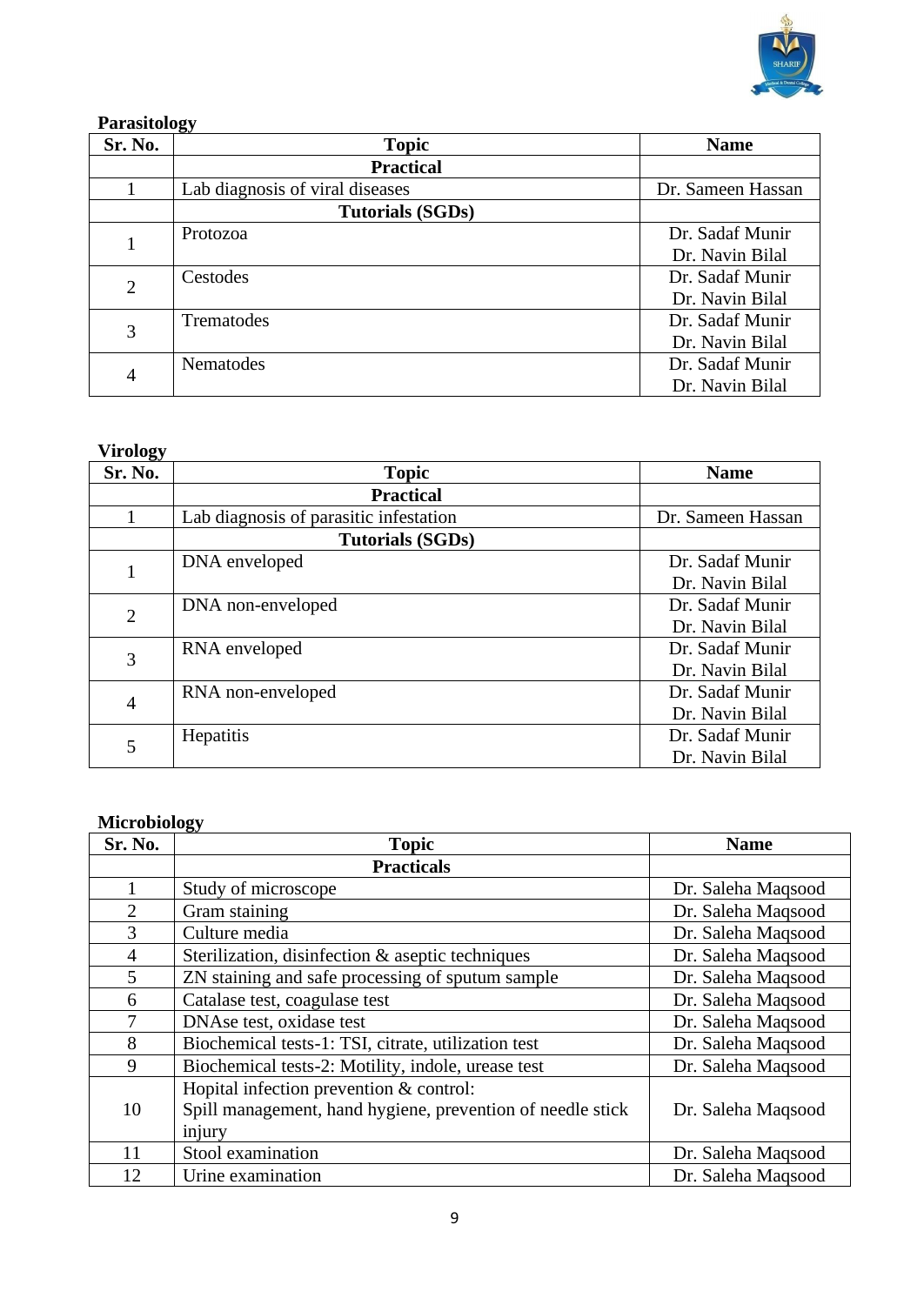

## **Parasitology**

| Sr. No.        | <b>Topic</b>                    | <b>Name</b>       |
|----------------|---------------------------------|-------------------|
|                | <b>Practical</b>                |                   |
|                | Lab diagnosis of viral diseases | Dr. Sameen Hassan |
|                | <b>Tutorials (SGDs)</b>         |                   |
|                | Protozoa                        | Dr. Sadaf Munir   |
|                |                                 | Dr. Navin Bilal   |
| $\overline{2}$ | Cestodes                        | Dr. Sadaf Munir   |
|                |                                 | Dr. Navin Bilal   |
| 3              | Trematodes                      | Dr. Sadaf Munir   |
|                |                                 | Dr. Navin Bilal   |
|                | <b>Nematodes</b>                | Dr. Sadaf Munir   |
| $\overline{4}$ |                                 | Dr. Navin Bilal   |

#### **Virology**

| $\tilde{}$<br>Sr. No. | <b>Topic</b>                           | <b>Name</b>       |
|-----------------------|----------------------------------------|-------------------|
|                       | <b>Practical</b>                       |                   |
|                       | Lab diagnosis of parasitic infestation | Dr. Sameen Hassan |
|                       | <b>Tutorials (SGDs)</b>                |                   |
| 1                     | DNA enveloped                          | Dr. Sadaf Munir   |
|                       |                                        | Dr. Navin Bilal   |
| $\overline{2}$        | DNA non-enveloped                      | Dr. Sadaf Munir   |
|                       |                                        | Dr. Navin Bilal   |
| 3                     | RNA enveloped                          | Dr. Sadaf Munir   |
|                       |                                        | Dr. Navin Bilal   |
| $\overline{4}$        | RNA non-enveloped                      | Dr. Sadaf Munir   |
|                       |                                        | Dr. Navin Bilal   |
| 5                     | Hepatitis                              | Dr. Sadaf Munir   |
|                       |                                        | Dr. Navin Bilal   |

#### **Microbiology**

| Sr. No.        | <b>Topic</b>                                               | <b>Name</b>        |
|----------------|------------------------------------------------------------|--------------------|
|                | <b>Practicals</b>                                          |                    |
|                | Study of microscope                                        | Dr. Saleha Maqsood |
| $\overline{2}$ | Gram staining                                              | Dr. Saleha Maqsood |
| 3              | Culture media                                              | Dr. Saleha Maqsood |
| $\overline{4}$ | Sterilization, disinfection & aseptic techniques           | Dr. Saleha Maqsood |
| 5              | ZN staining and safe processing of sputum sample           | Dr. Saleha Maqsood |
| 6              | Catalase test, coagulase test                              | Dr. Saleha Maqsood |
| 7              | DNAse test, oxidase test                                   | Dr. Saleha Maqsood |
| 8              | Biochemical tests-1: TSI, citrate, utilization test        | Dr. Saleha Maqsood |
| 9              | Biochemical tests-2: Motility, indole, urease test         | Dr. Saleha Maqsood |
|                | Hopital infection prevention & control:                    |                    |
| 10             | Spill management, hand hygiene, prevention of needle stick | Dr. Saleha Maqsood |
|                | injury                                                     |                    |
| 11             | Stool examination                                          | Dr. Saleha Maqsood |
| 12             | Urine examination                                          | Dr. Saleha Magsood |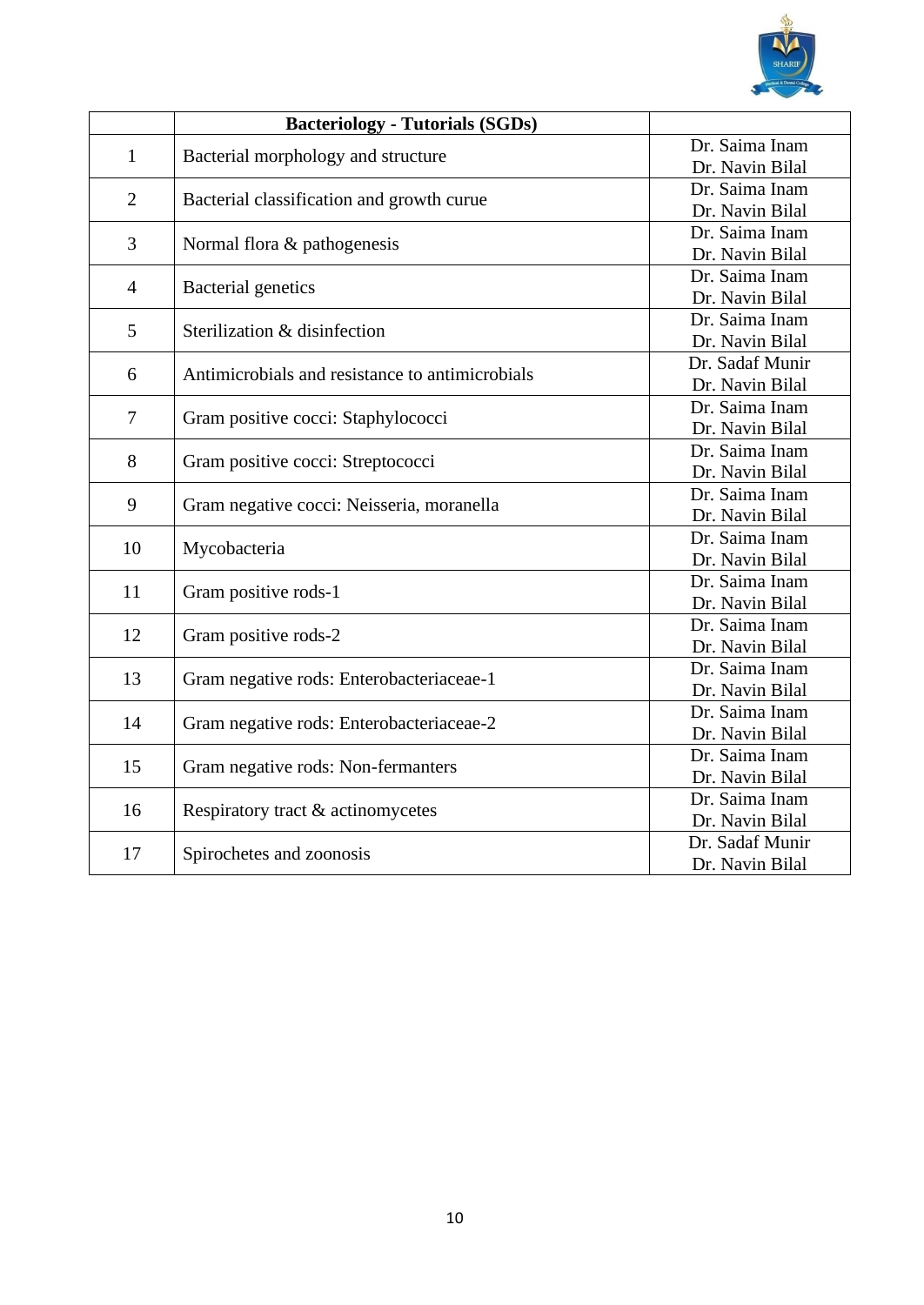

|                | <b>Bacteriology - Tutorials (SGDs)</b>          |                 |
|----------------|-------------------------------------------------|-----------------|
| $\mathbf{1}$   | Bacterial morphology and structure              | Dr. Saima Inam  |
|                |                                                 | Dr. Navin Bilal |
| $\overline{2}$ |                                                 | Dr. Saima Inam  |
|                | Bacterial classification and growth curue       | Dr. Navin Bilal |
| 3              | Normal flora & pathogenesis                     | Dr. Saima Inam  |
|                |                                                 | Dr. Navin Bilal |
| $\overline{4}$ | <b>Bacterial</b> genetics                       | Dr. Saima Inam  |
|                |                                                 | Dr. Navin Bilal |
| 5              | Sterilization & disinfection                    | Dr. Saima Inam  |
|                |                                                 | Dr. Navin Bilal |
|                |                                                 | Dr. Sadaf Munir |
| 6              | Antimicrobials and resistance to antimicrobials | Dr. Navin Bilal |
|                |                                                 | Dr. Saima Inam  |
| 7              | Gram positive cocci: Staphylococci              | Dr. Navin Bilal |
|                |                                                 | Dr. Saima Inam  |
| 8              | Gram positive cocci: Streptococci               | Dr. Navin Bilal |
| 9              |                                                 | Dr. Saima Inam  |
|                | Gram negative cocci: Neisseria, moranella       | Dr. Navin Bilal |
| 10             |                                                 | Dr. Saima Inam  |
|                | Mycobacteria                                    | Dr. Navin Bilal |
| 11             |                                                 | Dr. Saima Inam  |
|                | Gram positive rods-1                            | Dr. Navin Bilal |
| 12             |                                                 | Dr. Saima Inam  |
|                | Gram positive rods-2                            | Dr. Navin Bilal |
| 13             |                                                 | Dr. Saima Inam  |
|                | Gram negative rods: Enterobacteriaceae-1        | Dr. Navin Bilal |
| 14             |                                                 | Dr. Saima Inam  |
|                | Gram negative rods: Enterobacteriaceae-2        | Dr. Navin Bilal |
| 15             |                                                 | Dr. Saima Inam  |
|                | Gram negative rods: Non-fermanters              | Dr. Navin Bilal |
|                |                                                 | Dr. Saima Inam  |
| 16             | Respiratory tract & actinomycetes               | Dr. Navin Bilal |
|                |                                                 | Dr. Sadaf Munir |
| 17             | Spirochetes and zoonosis                        | Dr. Navin Bilal |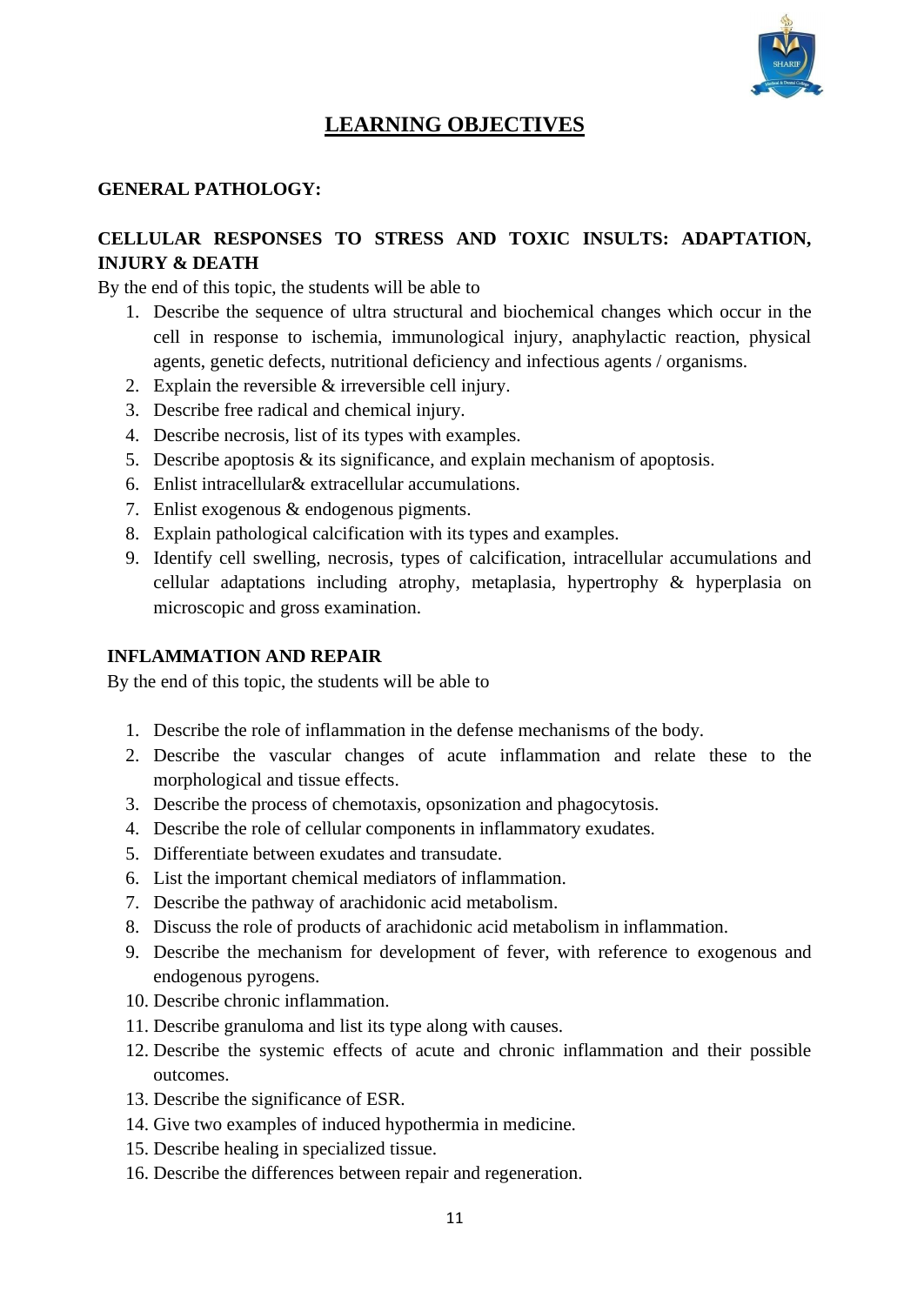

## **LEARNING OBJECTIVES**

#### **GENERAL PATHOLOGY:**

#### **CELLULAR RESPONSES TO STRESS AND TOXIC INSULTS: ADAPTATION, INJURY & DEATH**

By the end of this topic, the students will be able to

- 1. Describe the sequence of ultra structural and biochemical changes which occur in the cell in response to ischemia, immunological injury, anaphylactic reaction, physical agents, genetic defects, nutritional deficiency and infectious agents / organisms.
- 2. Explain the reversible & irreversible cell injury.
- 3. Describe free radical and chemical injury.
- 4. Describe necrosis, list of its types with examples.
- 5. Describe apoptosis & its significance, and explain mechanism of apoptosis.
- 6. Enlist intracellular& extracellular accumulations.
- 7. Enlist exogenous & endogenous pigments.
- 8. Explain pathological calcification with its types and examples.
- 9. Identify cell swelling, necrosis, types of calcification, intracellular accumulations and cellular adaptations including atrophy, metaplasia, hypertrophy & hyperplasia on microscopic and gross examination.

#### **INFLAMMATION AND REPAIR**

By the end of this topic, the students will be able to

- 1. Describe the role of inflammation in the defense mechanisms of the body.
- 2. Describe the vascular changes of acute inflammation and relate these to the morphological and tissue effects.
- 3. Describe the process of chemotaxis, opsonization and phagocytosis.
- 4. Describe the role of cellular components in inflammatory exudates.
- 5. Differentiate between exudates and transudate.
- 6. List the important chemical mediators of inflammation.
- 7. Describe the pathway of arachidonic acid metabolism.
- 8. Discuss the role of products of arachidonic acid metabolism in inflammation.
- 9. Describe the mechanism for development of fever, with reference to exogenous and endogenous pyrogens.
- 10. Describe chronic inflammation.
- 11. Describe granuloma and list its type along with causes.
- 12. Describe the systemic effects of acute and chronic inflammation and their possible outcomes.
- 13. Describe the significance of ESR.
- 14. Give two examples of induced hypothermia in medicine.
- 15. Describe healing in specialized tissue.
- 16. Describe the differences between repair and regeneration.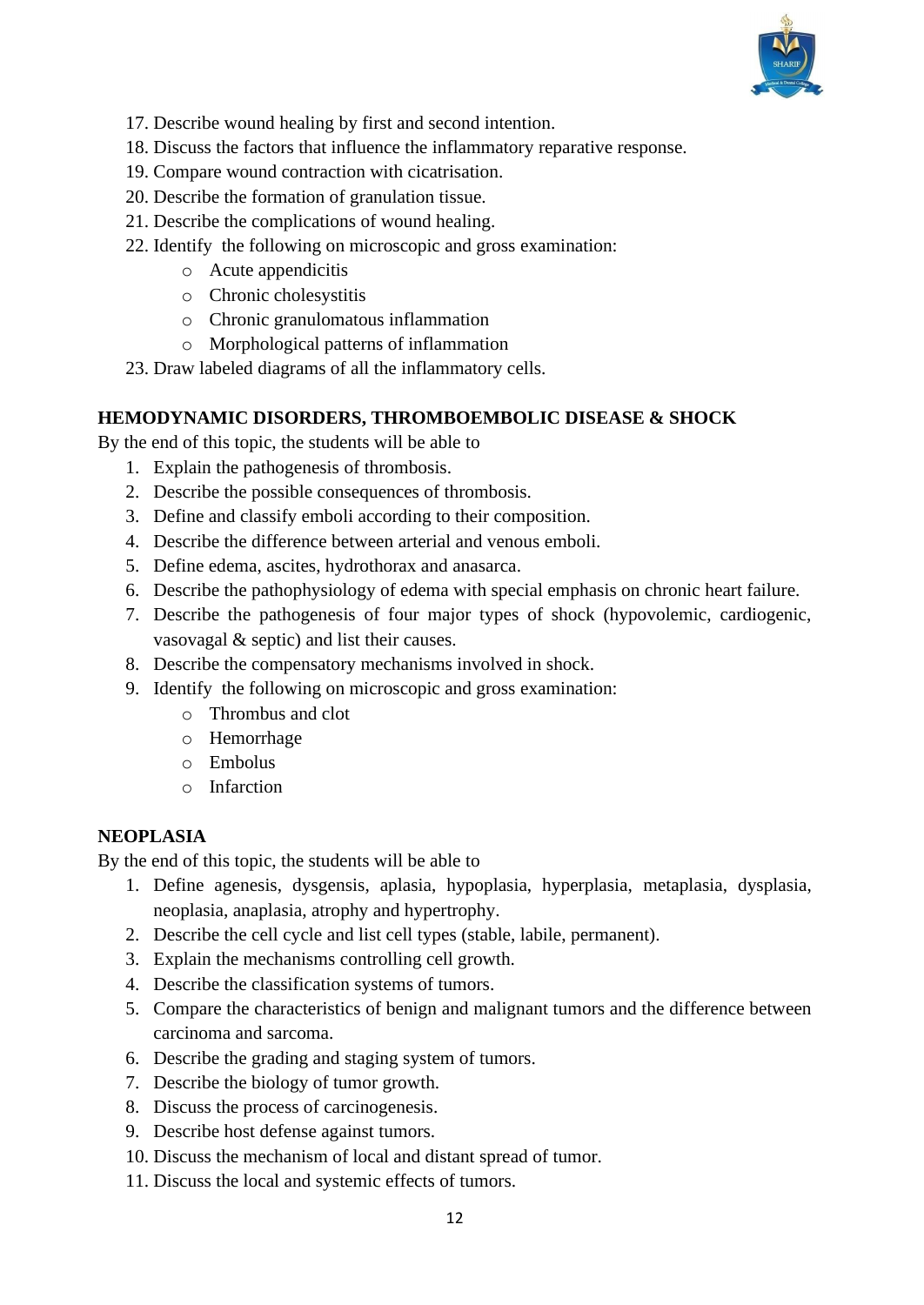

- 17. Describe wound healing by first and second intention.
- 18. Discuss the factors that influence the inflammatory reparative response.
- 19. Compare wound contraction with cicatrisation.
- 20. Describe the formation of granulation tissue.
- 21. Describe the complications of wound healing.
- 22. Identify the following on microscopic and gross examination:
	- o Acute appendicitis
	- o Chronic cholesystitis
	- o Chronic granulomatous inflammation
	- o Morphological patterns of inflammation
- 23. Draw labeled diagrams of all the inflammatory cells.

#### **HEMODYNAMIC DISORDERS, THROMBOEMBOLIC DISEASE & SHOCK**

By the end of this topic, the students will be able to

- 1. Explain the pathogenesis of thrombosis.
- 2. Describe the possible consequences of thrombosis.
- 3. Define and classify emboli according to their composition.
- 4. Describe the difference between arterial and venous emboli.
- 5. Define edema, ascites, hydrothorax and anasarca.
- 6. Describe the pathophysiology of edema with special emphasis on chronic heart failure.
- 7. Describe the pathogenesis of four major types of shock (hypovolemic, cardiogenic, vasovagal & septic) and list their causes.
- 8. Describe the compensatory mechanisms involved in shock.
- 9. Identify the following on microscopic and gross examination:
	- o Thrombus and clot
	- o Hemorrhage
	- o Embolus
	- o Infarction

#### **NEOPLASIA**

By the end of this topic, the students will be able to

- 1. Define agenesis, dysgensis, aplasia, hypoplasia, hyperplasia, metaplasia, dysplasia, neoplasia, anaplasia, atrophy and hypertrophy.
- 2. Describe the cell cycle and list cell types (stable, labile, permanent).
- 3. Explain the mechanisms controlling cell growth.
- 4. Describe the classification systems of tumors.
- 5. Compare the characteristics of benign and malignant tumors and the difference between carcinoma and sarcoma.
- 6. Describe the grading and staging system of tumors.
- 7. Describe the biology of tumor growth.
- 8. Discuss the process of carcinogenesis.
- 9. Describe host defense against tumors.
- 10. Discuss the mechanism of local and distant spread of tumor.
- 11. Discuss the local and systemic effects of tumors.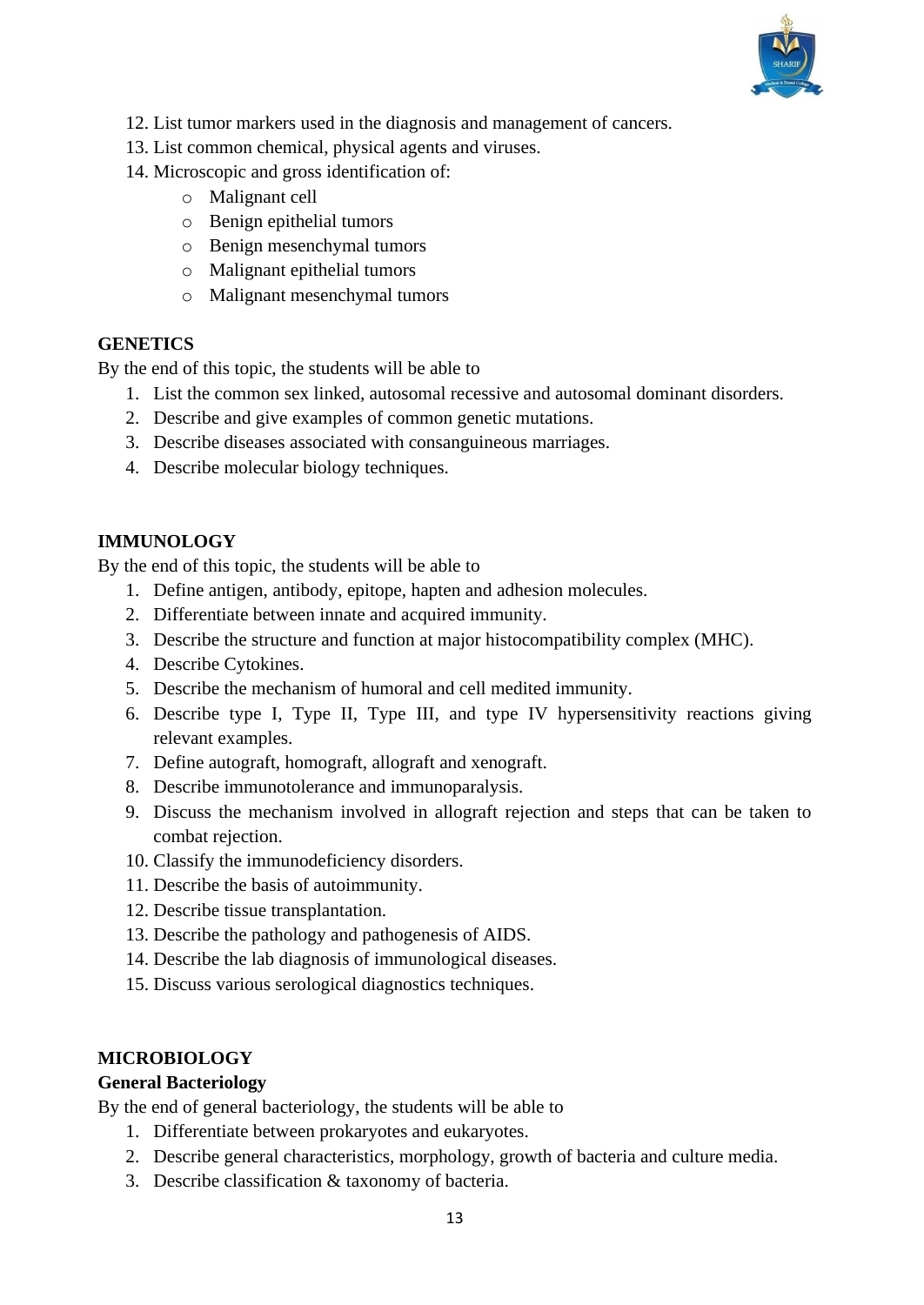

- 12. List tumor markers used in the diagnosis and management of cancers.
- 13. List common chemical, physical agents and viruses.
- 14. Microscopic and gross identification of:
	- o Malignant cell
	- o Benign epithelial tumors
	- o Benign mesenchymal tumors
	- o Malignant epithelial tumors
	- o Malignant mesenchymal tumors

#### **GENETICS**

By the end of this topic, the students will be able to

- 1. List the common sex linked, autosomal recessive and autosomal dominant disorders.
- 2. Describe and give examples of common genetic mutations.
- 3. Describe diseases associated with consanguineous marriages.
- 4. Describe molecular biology techniques.

#### **IMMUNOLOGY**

By the end of this topic, the students will be able to

- 1. Define antigen, antibody, epitope, hapten and adhesion molecules.
- 2. Differentiate between innate and acquired immunity.
- 3. Describe the structure and function at major histocompatibility complex (MHC).
- 4. Describe Cytokines.
- 5. Describe the mechanism of humoral and cell medited immunity.
- 6. Describe type I, Type II, Type III, and type IV hypersensitivity reactions giving relevant examples.
- 7. Define autograft, homograft, allograft and xenograft.
- 8. Describe immunotolerance and immunoparalysis.
- 9. Discuss the mechanism involved in allograft rejection and steps that can be taken to combat rejection.
- 10. Classify the immunodeficiency disorders.
- 11. Describe the basis of autoimmunity.
- 12. Describe tissue transplantation.
- 13. Describe the pathology and pathogenesis of AIDS.
- 14. Describe the lab diagnosis of immunological diseases.
- 15. Discuss various serological diagnostics techniques.

#### **MICROBIOLOGY**

#### **General Bacteriology**

By the end of general bacteriology, the students will be able to

- 1. Differentiate between prokaryotes and eukaryotes.
- 2. Describe general characteristics, morphology, growth of bacteria and culture media.
- 3. Describe classification & taxonomy of bacteria.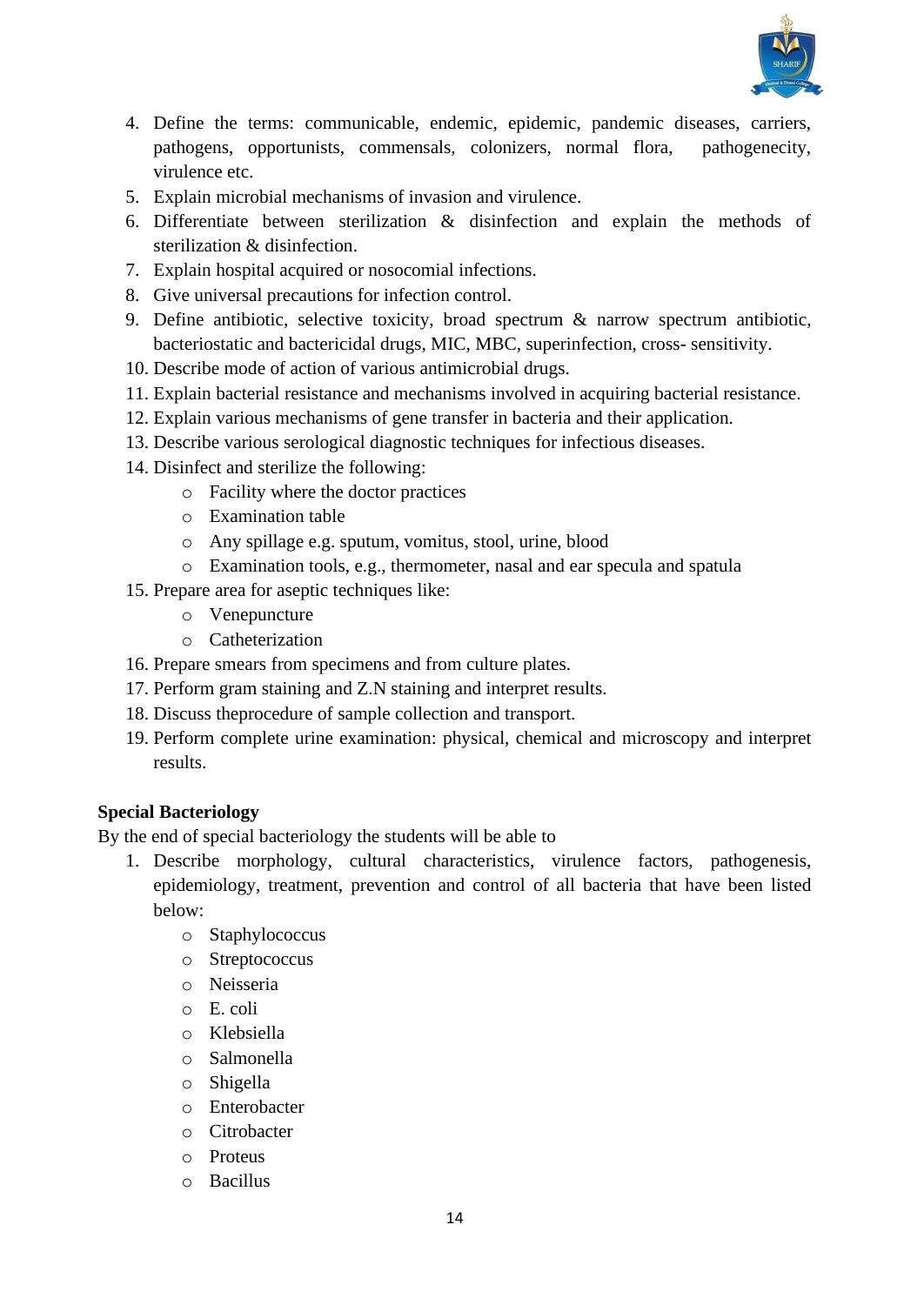

- 4. Define the terms: communicable, endemic, epidemic, pandemic diseases, carriers, pathogens, opportunists, commensals, colonizers, normal flora, pathogenecity, virulence etc.
- 5. Explain microbial mechanisms of invasion and virulence.
- 6. Differentiate between sterilization & disinfection and explain the methods of sterilization & disinfection.
- 7. Explain hospital acquired or nosocomial infections.
- 8. Give universal precautions for infection control.
- 9. Define antibiotic, selective toxicity, broad spectrum & narrow spectrum antibiotic, bacteriostatic and bactericidal drugs, MIC, MBC, superinfection, cross- sensitivity.
- 10. Describe mode of action of various antimicrobial drugs.
- 11. Explain bacterial resistance and mechanisms involved in acquiring bacterial resistance.
- 12. Explain various mechanisms of gene transfer in bacteria and their application.
- 13. Describe various serological diagnostic techniques for infectious diseases.
- 14. Disinfect and sterilize the following:
	- o Facility where the doctor practices
	- o Examination table
	- o Any spillage e.g. sputum, vomitus, stool, urine, blood
	- o Examination tools, e.g., thermometer, nasal and ear specula and spatula
- 15. Prepare area for aseptic techniques like:
	- o Venepuncture
	- o Catheterization
- 16. Prepare smears from specimens and from culture plates.
- 17. Perform gram staining and Z.N staining and interpret results.
- 18. Discuss theprocedure of sample collection and transport.
- 19. Perform complete urine examination: physical, chemical and microscopy and interpret results.

#### **Special Bacteriology**

By the end of special bacteriology the students will be able to

- 1. Describe morphology, cultural characteristics, virulence factors, pathogenesis, epidemiology, treatment, prevention and control of all bacteria that have been listed below:
	- o Staphylococcus
	- o Streptococcus
	- o Neisseria
	- o E. coli
	- o Klebsiella
	- o Salmonella
	- o Shigella
	- o Enterobacter
	- o Citrobacter
	- o Proteus
	- o Bacillus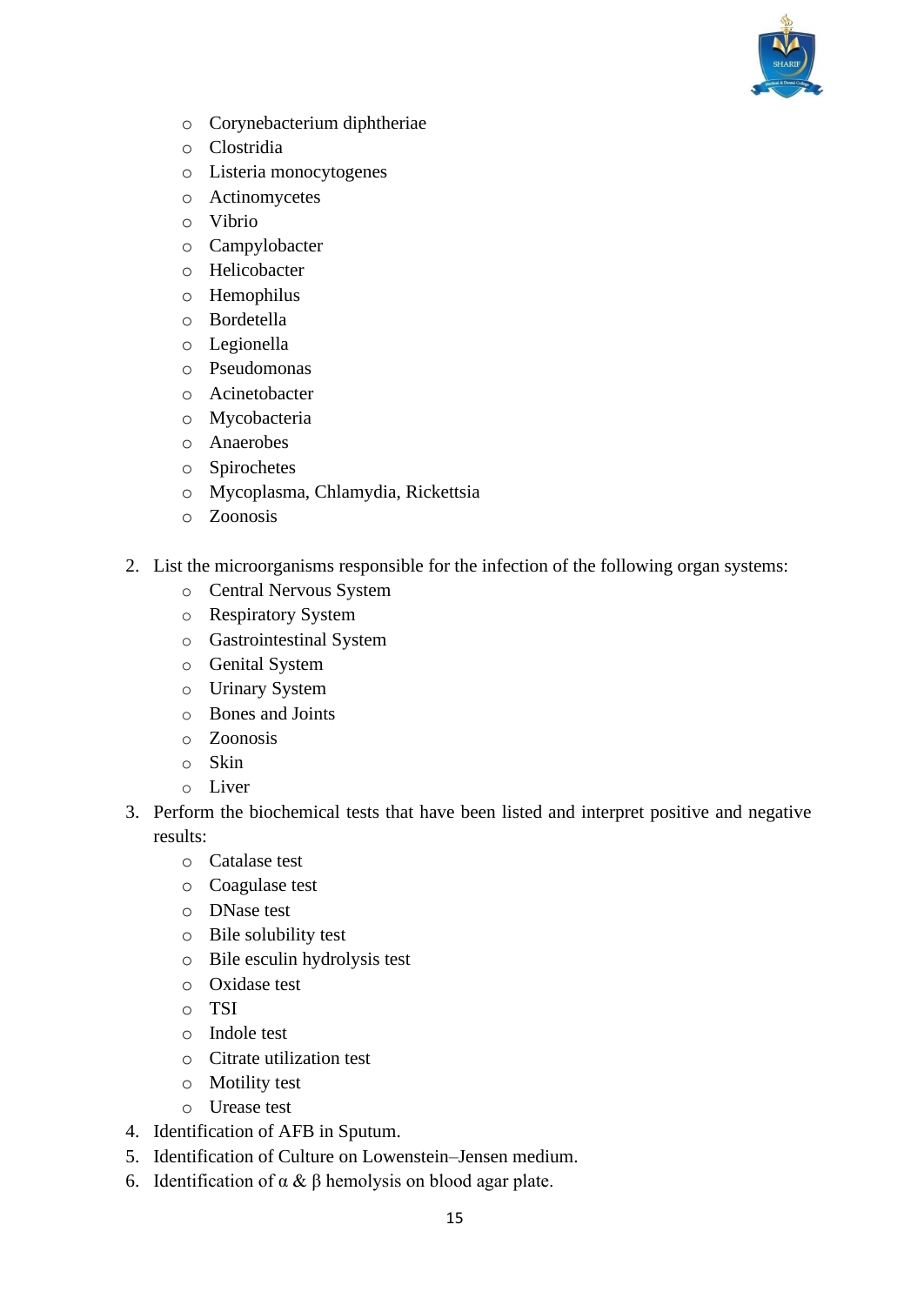

- o Corynebacterium diphtheriae
- o Clostridia
- o Listeria monocytogenes
- o Actinomycetes
- o Vibrio
- o Campylobacter
- o Helicobacter
- o Hemophilus
- o Bordetella
- o Legionella
- o Pseudomonas
- o Acinetobacter
- o Mycobacteria
- o Anaerobes
- o Spirochetes
- o Mycoplasma, Chlamydia, Rickettsia
- o Zoonosis
- 2. List the microorganisms responsible for the infection of the following organ systems:
	- o Central Nervous System
	- o Respiratory System
	- o Gastrointestinal System
	- o Genital System
	- o Urinary System
	- o Bones and Joints
	- o Zoonosis
	- o Skin
	- o Liver
- 3. Perform the biochemical tests that have been listed and interpret positive and negative results:
	- o Catalase test
	- o Coagulase test
	- o DNase test
	- o Bile solubility test
	- o Bile esculin hydrolysis test
	- o Oxidase test
	- o TSI
	- o Indole test
	- o Citrate utilization test
	- o Motility test
	- o Urease test
- 4. Identification of AFB in Sputum.
- 5. Identification of Culture on Lowenstein–Jensen medium.
- 6. Identification of α & β hemolysis on blood agar plate.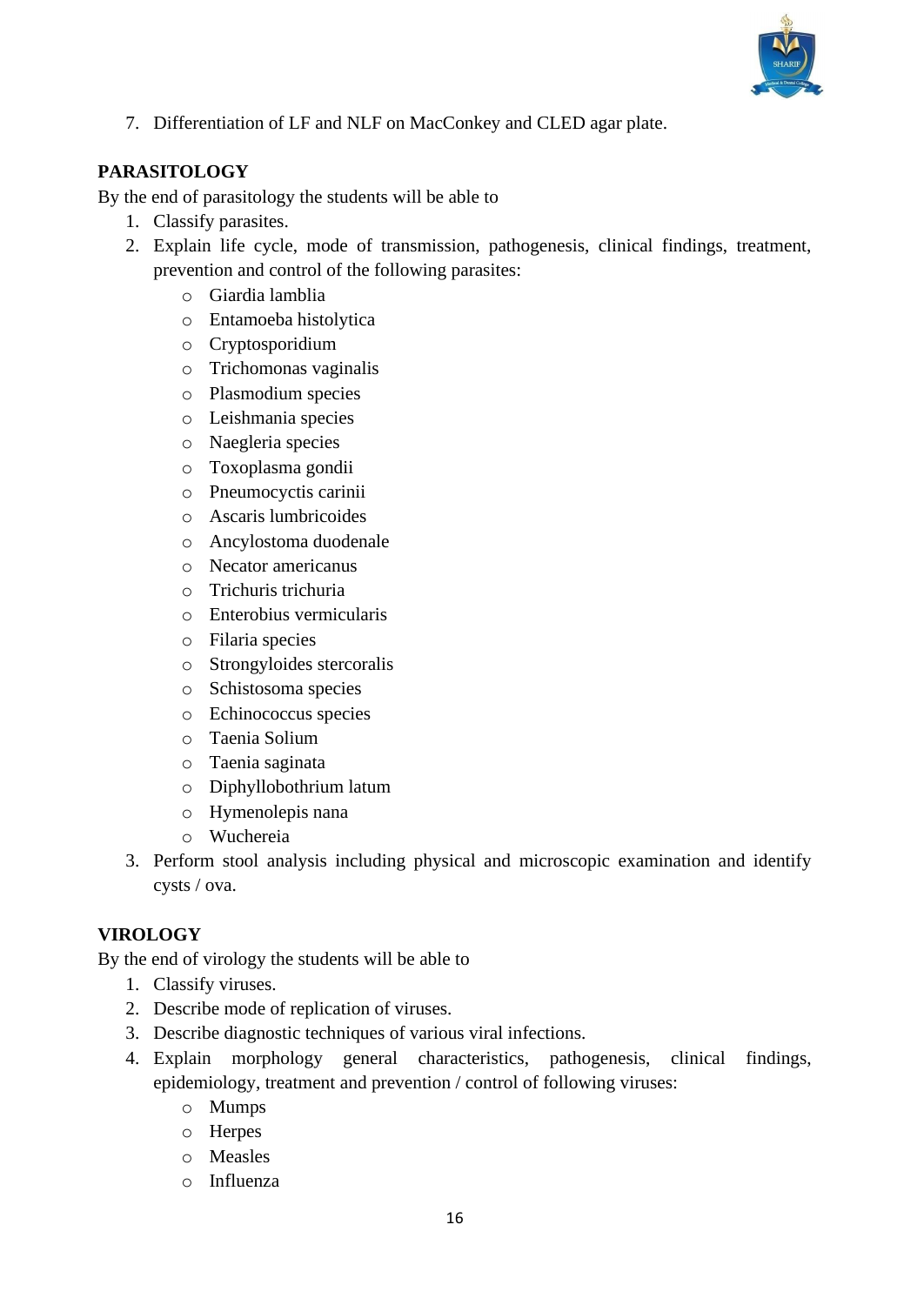

7. Differentiation of LF and NLF on MacConkey and CLED agar plate.

#### **PARASITOLOGY**

By the end of parasitology the students will be able to

- 1. Classify parasites.
- 2. Explain life cycle, mode of transmission, pathogenesis, clinical findings, treatment, prevention and control of the following parasites:
	- o Giardia lamblia
	- o Entamoeba histolytica
	- o Cryptosporidium
	- o Trichomonas vaginalis
	- o Plasmodium species
	- o Leishmania species
	- o Naegleria species
	- o Toxoplasma gondii
	- o Pneumocyctis carinii
	- o Ascaris lumbricoides
	- o Ancylostoma duodenale
	- o Necator americanus
	- o Trichuris trichuria
	- o Enterobius vermicularis
	- o Filaria species
	- o Strongyloides stercoralis
	- o Schistosoma species
	- o Echinococcus species
	- o Taenia Solium
	- o Taenia saginata
	- o Diphyllobothrium latum
	- o Hymenolepis nana
	- o Wuchereia
- 3. Perform stool analysis including physical and microscopic examination and identify cysts / ova.

#### **VIROLOGY**

By the end of virology the students will be able to

- 1. Classify viruses.
- 2. Describe mode of replication of viruses.
- 3. Describe diagnostic techniques of various viral infections.
- 4. Explain morphology general characteristics, pathogenesis, clinical findings, epidemiology, treatment and prevention / control of following viruses:
	- o Mumps
	- o Herpes
	- o Measles
	- o Influenza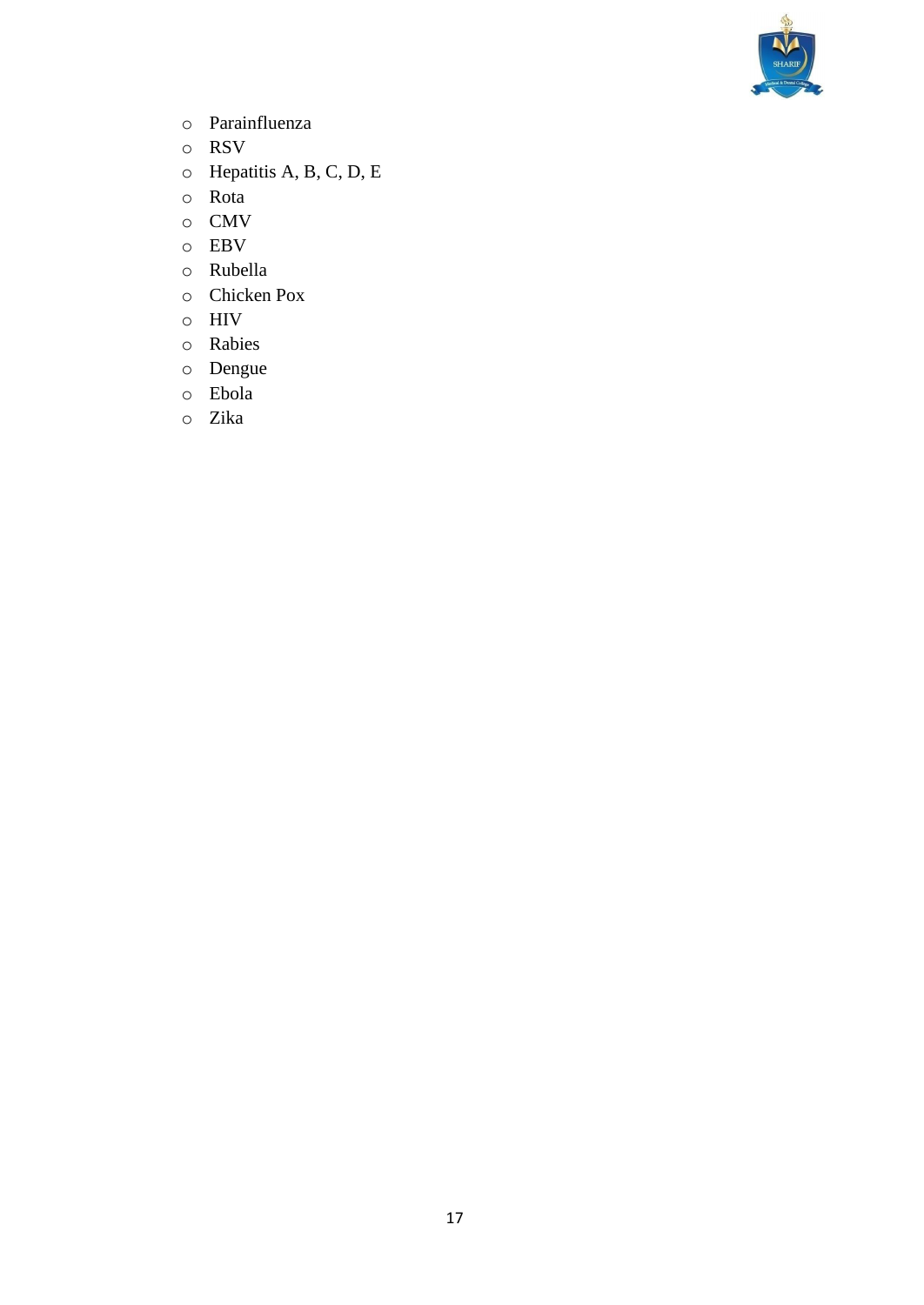

- o Parainfluenza
- o RSV
- o Hepatitis A, B, C, D, E
- o Rota
- o CMV
- o EBV
- o Rubella
- o Chicken Pox
- o HIV
- o Rabies
- o Dengue
- o Ebola
- o Zika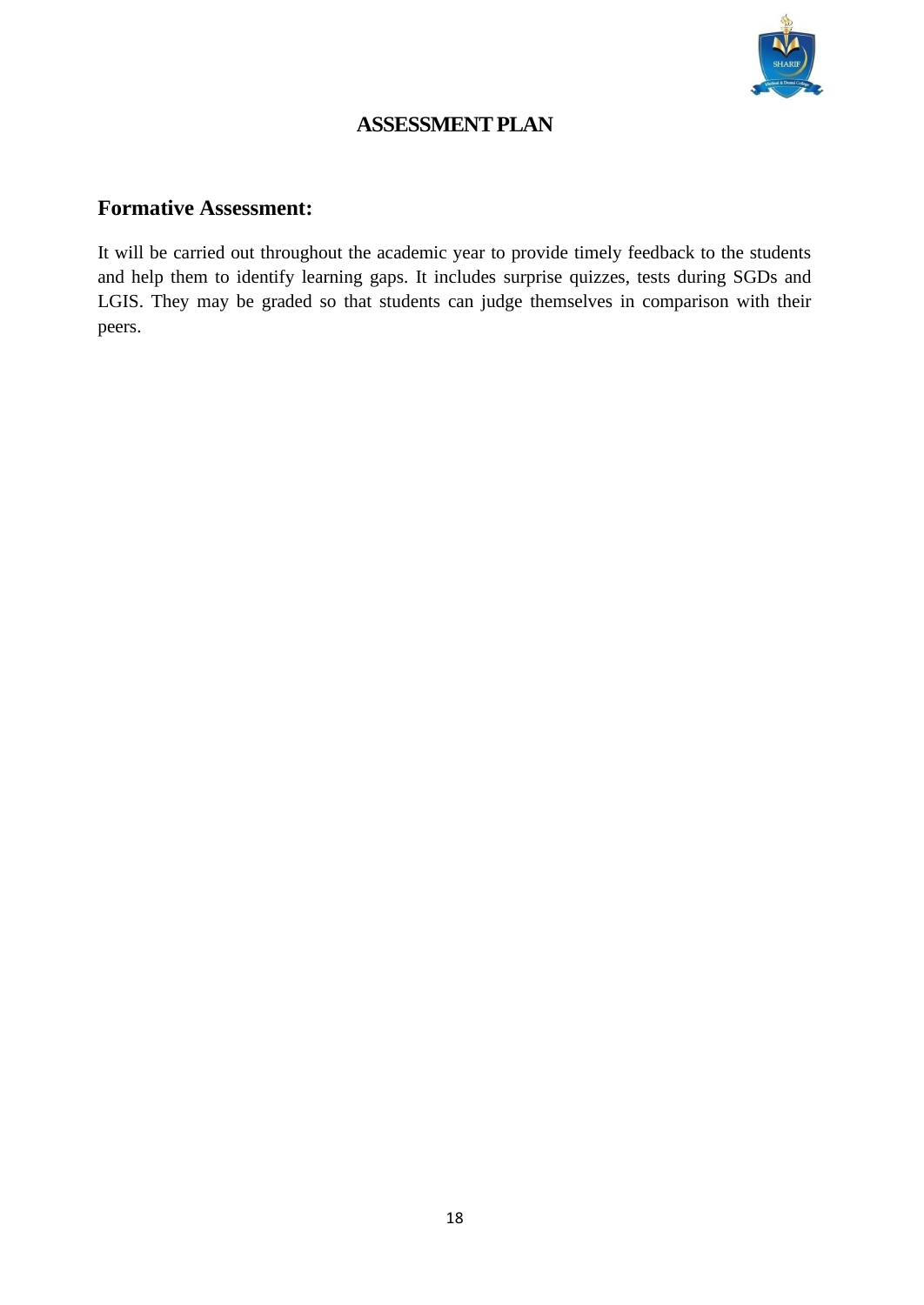

## **ASSESSMENT PLAN**

#### **Formative Assessment:**

It will be carried out throughout the academic year to provide timely feedback to the students and help them to identify learning gaps. It includes surprise quizzes, tests during SGDs and LGIS. They may be graded so that students can judge themselves in comparison with their peers.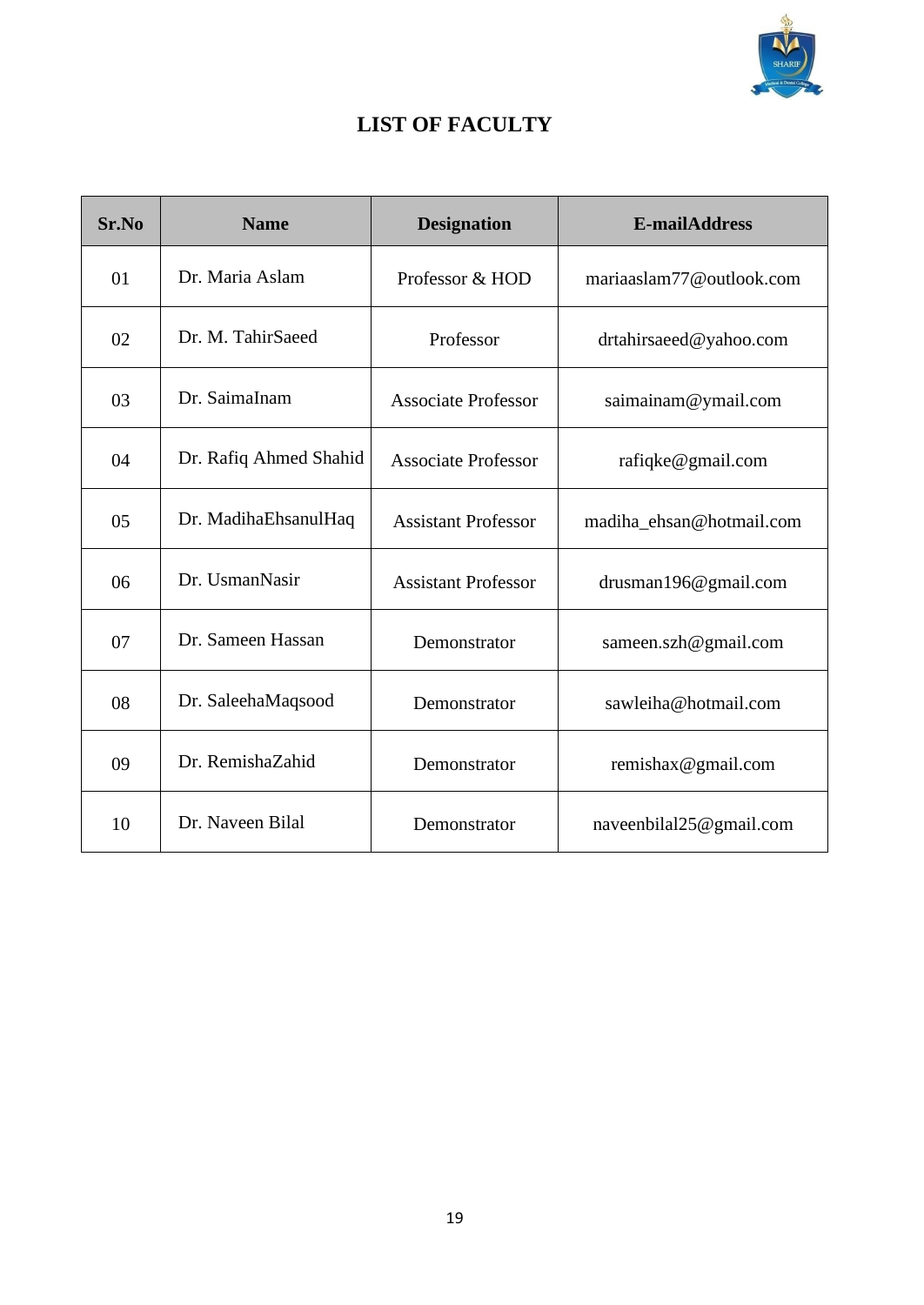

## **LIST OF FACULTY**

| Sr.No | <b>Name</b>            | <b>Designation</b>         | <b>E-mailAddress</b>     |
|-------|------------------------|----------------------------|--------------------------|
| 01    | Dr. Maria Aslam        | Professor & HOD            | mariaaslam77@outlook.com |
| 02    | Dr. M. TahirSaeed      | Professor                  | drtahirsaeed@yahoo.com   |
| 03    | Dr. SaimaInam          | <b>Associate Professor</b> | saimainam@ymail.com      |
| 04    | Dr. Rafiq Ahmed Shahid | <b>Associate Professor</b> | rafiqke@gmail.com        |
| 05    | Dr. MadihaEhsanulHaq   | <b>Assistant Professor</b> | madiha_ehsan@hotmail.com |
| 06    | Dr. UsmanNasir         | <b>Assistant Professor</b> | drusman196@gmail.com     |
| 07    | Dr. Sameen Hassan      | Demonstrator               | sameen.szh@gmail.com     |
| 08    | Dr. SaleehaMaqsood     | Demonstrator               | sawleiha@hotmail.com     |
| 09    | Dr. RemishaZahid       | Demonstrator               | remishax@gmail.com       |
| 10    | Dr. Naveen Bilal       | Demonstrator               | naveenbilal25@gmail.com  |